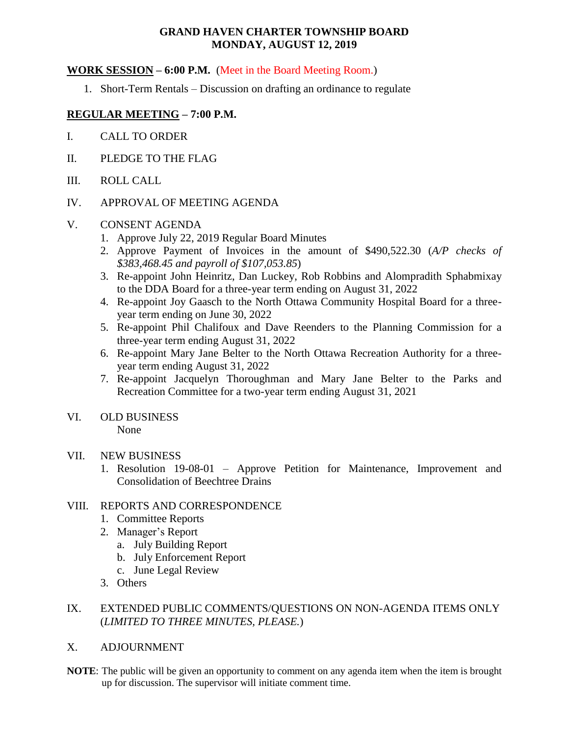# **GRAND HAVEN CHARTER TOWNSHIP BOARD MONDAY, AUGUST 12, 2019**

# **WORK SESSION – 6:00 P.M.** (Meet in the Board Meeting Room.)

1. Short-Term Rentals – Discussion on drafting an ordinance to regulate

# **REGULAR MEETING – 7:00 P.M.**

- I. CALL TO ORDER
- II. PLEDGE TO THE FLAG
- III. ROLL CALL

## IV. APPROVAL OF MEETING AGENDA

## V. CONSENT AGENDA

- 1. Approve July 22, 2019 Regular Board Minutes
- 2. Approve Payment of Invoices in the amount of \$490,522.30 (*A/P checks of \$383,468.45 and payroll of \$107,053.85*)
- 3. Re-appoint John Heinritz, Dan Luckey, Rob Robbins and Alompradith Sphabmixay to the DDA Board for a three-year term ending on August 31, 2022
- 4. Re-appoint Joy Gaasch to the North Ottawa Community Hospital Board for a threeyear term ending on June 30, 2022
- 5. Re-appoint Phil Chalifoux and Dave Reenders to the Planning Commission for a three-year term ending August 31, 2022
- 6. Re-appoint Mary Jane Belter to the North Ottawa Recreation Authority for a threeyear term ending August 31, 2022
- 7. Re-appoint Jacquelyn Thoroughman and Mary Jane Belter to the Parks and Recreation Committee for a two-year term ending August 31, 2021

# VI. OLD BUSINESS

None

## VII. NEW BUSINESS

1. Resolution 19-08-01 – Approve Petition for Maintenance, Improvement and Consolidation of Beechtree Drains

# VIII. REPORTS AND CORRESPONDENCE

- 1. Committee Reports
- 2. Manager's Report
	- a. July Building Report
	- b. July Enforcement Report
	- c. June Legal Review
- 3. Others

# IX. EXTENDED PUBLIC COMMENTS/QUESTIONS ON NON-AGENDA ITEMS ONLY (*LIMITED TO THREE MINUTES, PLEASE.*)

# X. ADJOURNMENT

**NOTE**: The public will be given an opportunity to comment on any agenda item when the item is brought up for discussion. The supervisor will initiate comment time.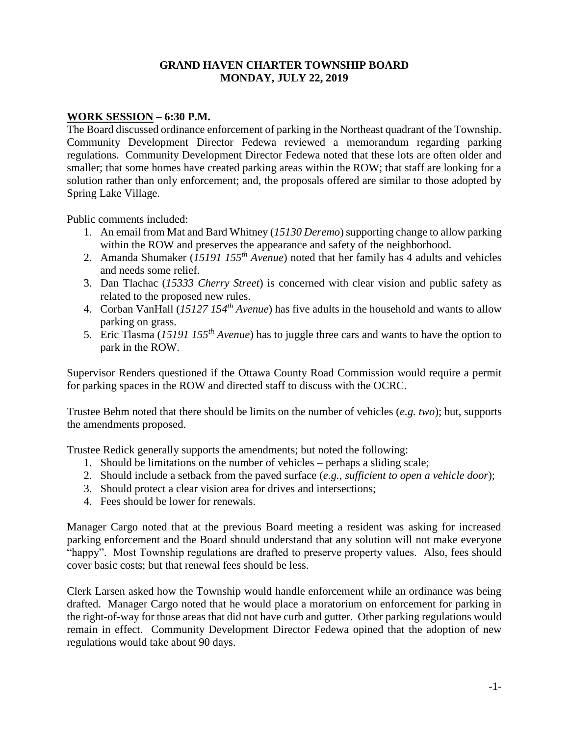# **GRAND HAVEN CHARTER TOWNSHIP BOARD MONDAY, JULY 22, 2019**

# **WORK SESSION – 6:30 P.M.**

The Board discussed ordinance enforcement of parking in the Northeast quadrant of the Township. Community Development Director Fedewa reviewed a memorandum regarding parking regulations. Community Development Director Fedewa noted that these lots are often older and smaller; that some homes have created parking areas within the ROW; that staff are looking for a solution rather than only enforcement; and, the proposals offered are similar to those adopted by Spring Lake Village.

Public comments included:

- 1. An email from Mat and Bard Whitney (*15130 Deremo*) supporting change to allow parking within the ROW and preserves the appearance and safety of the neighborhood.
- 2. Amanda Shumaker (*15191 155th Avenue*) noted that her family has 4 adults and vehicles and needs some relief.
- 3. Dan Tlachac (*15333 Cherry Street*) is concerned with clear vision and public safety as related to the proposed new rules.
- 4. Corban VanHall (*15127 154th Avenue*) has five adults in the household and wants to allow parking on grass.
- 5. Eric Tlasma (*15191 155th Avenue*) has to juggle three cars and wants to have the option to park in the ROW.

Supervisor Renders questioned if the Ottawa County Road Commission would require a permit for parking spaces in the ROW and directed staff to discuss with the OCRC.

Trustee Behm noted that there should be limits on the number of vehicles (*e.g. two*); but, supports the amendments proposed.

Trustee Redick generally supports the amendments; but noted the following:

- 1. Should be limitations on the number of vehicles perhaps a sliding scale;
- 2. Should include a setback from the paved surface (*e.g., sufficient to open a vehicle door*);
- 3. Should protect a clear vision area for drives and intersections;
- 4. Fees should be lower for renewals.

Manager Cargo noted that at the previous Board meeting a resident was asking for increased parking enforcement and the Board should understand that any solution will not make everyone "happy". Most Township regulations are drafted to preserve property values. Also, fees should cover basic costs; but that renewal fees should be less.

Clerk Larsen asked how the Township would handle enforcement while an ordinance was being drafted. Manager Cargo noted that he would place a moratorium on enforcement for parking in the right-of-way for those areas that did not have curb and gutter. Other parking regulations would remain in effect. Community Development Director Fedewa opined that the adoption of new regulations would take about 90 days.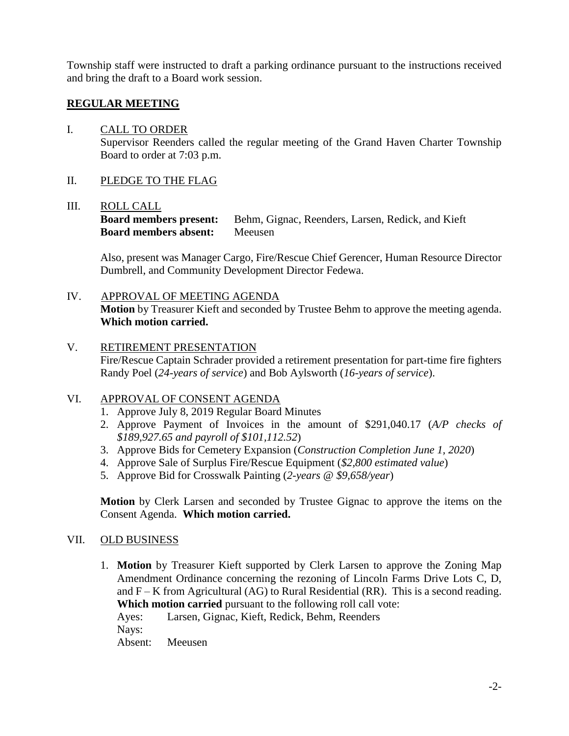Township staff were instructed to draft a parking ordinance pursuant to the instructions received and bring the draft to a Board work session.

# **REGULAR MEETING**

# I. CALL TO ORDER

Supervisor Reenders called the regular meeting of the Grand Haven Charter Township Board to order at 7:03 p.m.

# II. PLEDGE TO THE FLAG

# III. ROLL CALL

**Board members present:** Behm, Gignac, Reenders, Larsen, Redick, and Kieft **Board members absent:** Meeusen

Also, present was Manager Cargo, Fire/Rescue Chief Gerencer, Human Resource Director Dumbrell, and Community Development Director Fedewa.

# IV. APPROVAL OF MEETING AGENDA

**Motion** by Treasurer Kieft and seconded by Trustee Behm to approve the meeting agenda. **Which motion carried.**

# V. RETIREMENT PRESENTATION

Fire/Rescue Captain Schrader provided a retirement presentation for part-time fire fighters Randy Poel (*24-years of service*) and Bob Aylsworth (*16-years of service*).

# VI. APPROVAL OF CONSENT AGENDA

- 1. Approve July 8, 2019 Regular Board Minutes
- 2. Approve Payment of Invoices in the amount of \$291,040.17 (*A/P checks of \$189,927.65 and payroll of \$101,112.52*)
- 3. Approve Bids for Cemetery Expansion (*Construction Completion June 1, 2020*)
- 4. Approve Sale of Surplus Fire/Rescue Equipment (*\$2,800 estimated value*)
- 5. Approve Bid for Crosswalk Painting (*2-years @ \$9,658/year*)

**Motion** by Clerk Larsen and seconded by Trustee Gignac to approve the items on the Consent Agenda. **Which motion carried.**

# VII. OLD BUSINESS

1. **Motion** by Treasurer Kieft supported by Clerk Larsen to approve the Zoning Map Amendment Ordinance concerning the rezoning of Lincoln Farms Drive Lots C, D, and  $F - K$  from Agricultural (AG) to Rural Residential (RR). This is a second reading. **Which motion carried** pursuant to the following roll call vote:

Ayes: Larsen, Gignac, Kieft, Redick, Behm, Reenders Nays:

Absent: Meeusen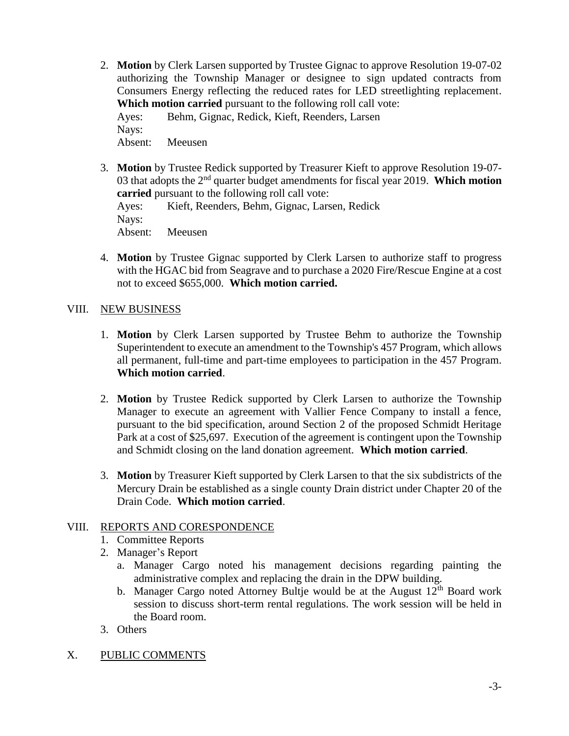- 2. **Motion** by Clerk Larsen supported by Trustee Gignac to approve Resolution 19-07-02 authorizing the Township Manager or designee to sign updated contracts from Consumers Energy reflecting the reduced rates for LED streetlighting replacement. **Which motion carried** pursuant to the following roll call vote: Ayes: Behm, Gignac, Redick, Kieft, Reenders, Larsen Nays: Absent: Meeusen
- 3. **Motion** by Trustee Redick supported by Treasurer Kieft to approve Resolution 19-07- 03 that adopts the 2nd quarter budget amendments for fiscal year 2019. **Which motion carried** pursuant to the following roll call vote: Ayes: Kieft, Reenders, Behm, Gignac, Larsen, Redick
	- Nays: Absent: Meeusen
- 4. **Motion** by Trustee Gignac supported by Clerk Larsen to authorize staff to progress with the HGAC bid from Seagrave and to purchase a 2020 Fire/Rescue Engine at a cost not to exceed \$655,000. **Which motion carried.**

# VIII. NEW BUSINESS

- 1. **Motion** by Clerk Larsen supported by Trustee Behm to authorize the Township Superintendent to execute an amendment to the Township's 457 Program, which allows all permanent, full-time and part-time employees to participation in the 457 Program. **Which motion carried**.
- 2. **Motion** by Trustee Redick supported by Clerk Larsen to authorize the Township Manager to execute an agreement with Vallier Fence Company to install a fence, pursuant to the bid specification, around Section 2 of the proposed Schmidt Heritage Park at a cost of \$25,697. Execution of the agreement is contingent upon the Township and Schmidt closing on the land donation agreement. **Which motion carried**.
- 3. **Motion** by Treasurer Kieft supported by Clerk Larsen to that the six subdistricts of the Mercury Drain be established as a single county Drain district under Chapter 20 of the Drain Code. **Which motion carried**.

# VIII. REPORTS AND CORESPONDENCE

- 1. Committee Reports
- 2. Manager's Report
	- a. Manager Cargo noted his management decisions regarding painting the administrative complex and replacing the drain in the DPW building.
	- b. Manager Cargo noted Attorney Bultje would be at the August  $12<sup>th</sup>$  Board work session to discuss short-term rental regulations. The work session will be held in the Board room.
- 3. Others
- X. PUBLIC COMMENTS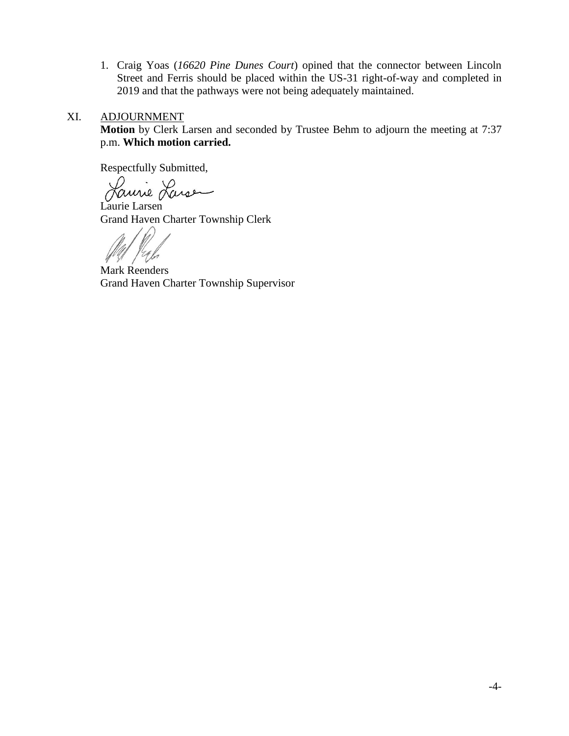1. Craig Yoas (*16620 Pine Dunes Court*) opined that the connector between Lincoln Street and Ferris should be placed within the US-31 right-of-way and completed in 2019 and that the pathways were not being adequately maintained.

# XI. ADJOURNMENT

**Motion** by Clerk Larsen and seconded by Trustee Behm to adjourn the meeting at 7:37 p.m. **Which motion carried.**

Respectfully Submitted,

Laurie Larse

Laurie Larsen Grand Haven Charter Township Clerk

Mark Reenders Grand Haven Charter Township Supervisor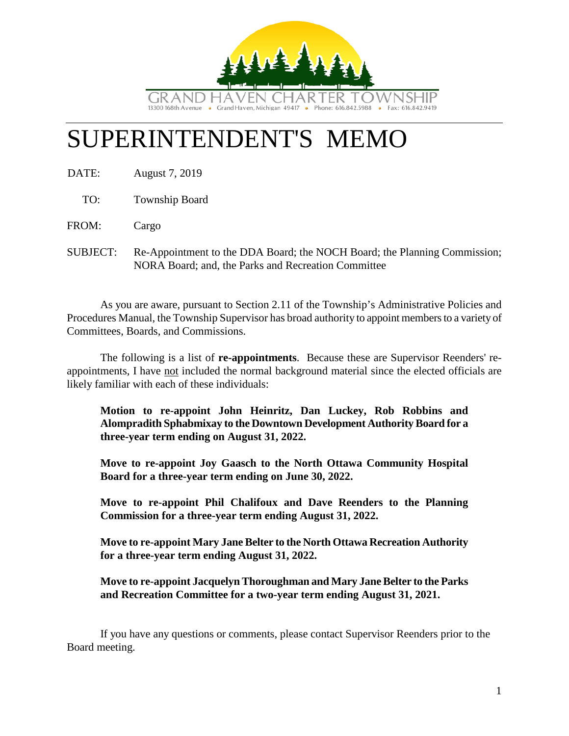

# SUPERINTENDENT'S MEMO

DATE: August 7, 2019

TO: Township Board

FROM: Cargo

SUBJECT: Re-Appointment to the DDA Board; the NOCH Board; the Planning Commission; NORA Board; and, the Parks and Recreation Committee

As you are aware, pursuant to Section 2.11 of the Township's Administrative Policies and Procedures Manual, the Township Supervisor has broad authority to appoint members to a variety of Committees, Boards, and Commissions.

The following is a list of **re-appointments**. Because these are Supervisor Reenders' reappointments, I have not included the normal background material since the elected officials are likely familiar with each of these individuals:

**Motion to re-appoint John Heinritz, Dan Luckey, Rob Robbins and Alompradith Sphabmixay to the Downtown Development Authority Board for a three-year term ending on August 31, 2022.**

**Move to re-appoint Joy Gaasch to the North Ottawa Community Hospital Board for a three-year term ending on June 30, 2022.**

**Move to re-appoint Phil Chalifoux and Dave Reenders to the Planning Commission for a three-year term ending August 31, 2022.**

**Move to re-appoint Mary Jane Belter to the North Ottawa Recreation Authority for a three-year term ending August 31, 2022.**

**Move to re-appoint Jacquelyn Thoroughman and Mary Jane Belter to the Parks and Recreation Committee for a two-year term ending August 31, 2021.**

If you have any questions or comments, please contact Supervisor Reenders prior to the Board meeting.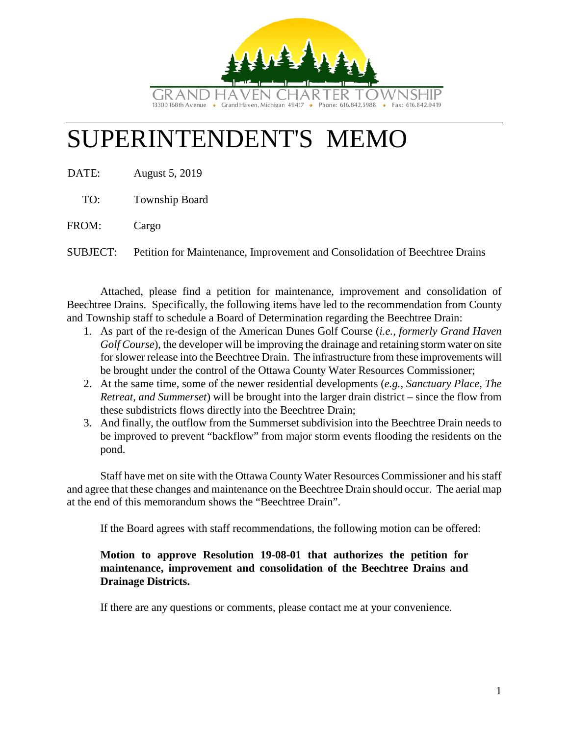

# SUPERINTENDENT'S MEMO

DATE: August 5, 2019

TO: Township Board

FROM: Cargo

SUBJECT: Petition for Maintenance, Improvement and Consolidation of Beechtree Drains

Attached, please find a petition for maintenance, improvement and consolidation of Beechtree Drains. Specifically, the following items have led to the recommendation from County and Township staff to schedule a Board of Determination regarding the Beechtree Drain:

- 1. As part of the re-design of the American Dunes Golf Course (*i.e., formerly Grand Haven Golf Course*), the developer will be improving the drainage and retaining storm water on site for slower release into the Beechtree Drain. The infrastructure from these improvements will be brought under the control of the Ottawa County Water Resources Commissioner;
- 2. At the same time, some of the newer residential developments (*e.g., Sanctuary Place, The Retreat, and Summerset*) will be brought into the larger drain district – since the flow from these subdistricts flows directly into the Beechtree Drain;
- 3. And finally, the outflow from the Summerset subdivision into the Beechtree Drain needs to be improved to prevent "backflow" from major storm events flooding the residents on the pond.

Staff have met on site with the Ottawa County Water Resources Commissioner and his staff and agree that these changes and maintenance on the Beechtree Drain should occur. The aerial map at the end of this memorandum shows the "Beechtree Drain".

If the Board agrees with staff recommendations, the following motion can be offered:

# **Motion to approve Resolution 19-08-01 that authorizes the petition for maintenance, improvement and consolidation of the Beechtree Drains and Drainage Districts.**

If there are any questions or comments, please contact me at your convenience.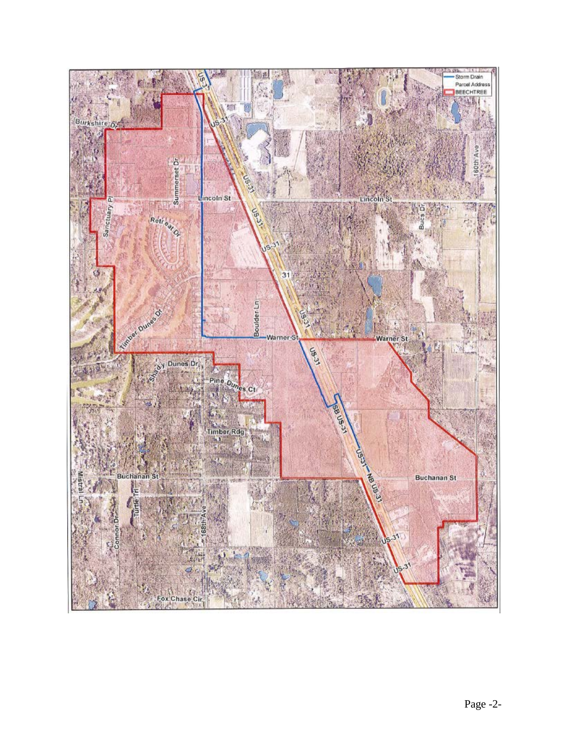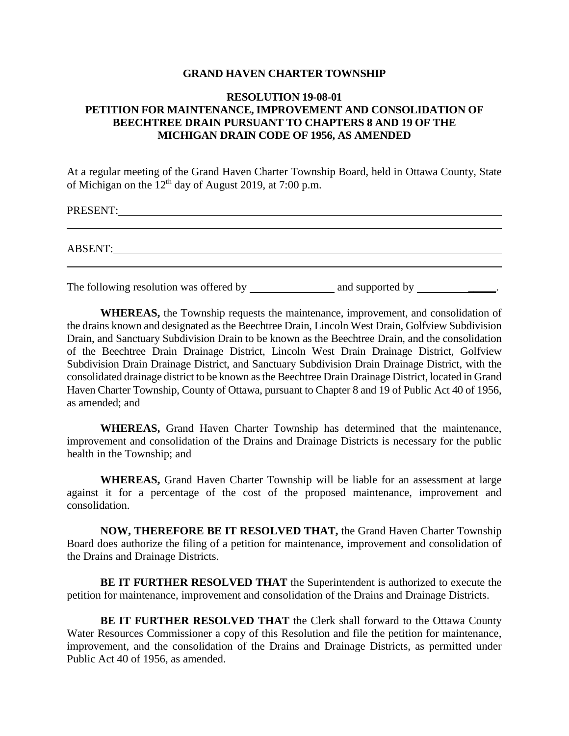# **GRAND HAVEN CHARTER TOWNSHIP**

# **RESOLUTION 19-08-01 PETITION FOR MAINTENANCE, IMPROVEMENT AND CONSOLIDATION OF BEECHTREE DRAIN PURSUANT TO CHAPTERS 8 AND 19 OF THE MICHIGAN DRAIN CODE OF 1956, AS AMENDED**

At a regular meeting of the Grand Haven Charter Township Board, held in Ottawa County, State of Michigan on the  $12<sup>th</sup>$  day of August 2019, at 7:00 p.m.

PRESENT:

ABSENT:

The following resolution was offered by  $\qquad$  and supported by  $\qquad$ 

**WHEREAS,** the Township requests the maintenance, improvement, and consolidation of the drains known and designated as the Beechtree Drain, Lincoln West Drain, Golfview Subdivision Drain, and Sanctuary Subdivision Drain to be known as the Beechtree Drain, and the consolidation of the Beechtree Drain Drainage District, Lincoln West Drain Drainage District, Golfview Subdivision Drain Drainage District, and Sanctuary Subdivision Drain Drainage District, with the consolidated drainage district to be known as the Beechtree Drain Drainage District, located in Grand Haven Charter Township, County of Ottawa, pursuant to Chapter 8 and 19 of Public Act 40 of 1956, as amended; and

**WHEREAS,** Grand Haven Charter Township has determined that the maintenance, improvement and consolidation of the Drains and Drainage Districts is necessary for the public health in the Township; and

**WHEREAS,** Grand Haven Charter Township will be liable for an assessment at large against it for a percentage of the cost of the proposed maintenance, improvement and consolidation.

**NOW, THEREFORE BE IT RESOLVED THAT,** the Grand Haven Charter Township Board does authorize the filing of a petition for maintenance, improvement and consolidation of the Drains and Drainage Districts.

**BE IT FURTHER RESOLVED THAT** the Superintendent is authorized to execute the petition for maintenance, improvement and consolidation of the Drains and Drainage Districts.

**BE IT FURTHER RESOLVED THAT** the Clerk shall forward to the Ottawa County Water Resources Commissioner a copy of this Resolution and file the petition for maintenance, improvement, and the consolidation of the Drains and Drainage Districts, as permitted under Public Act 40 of 1956, as amended.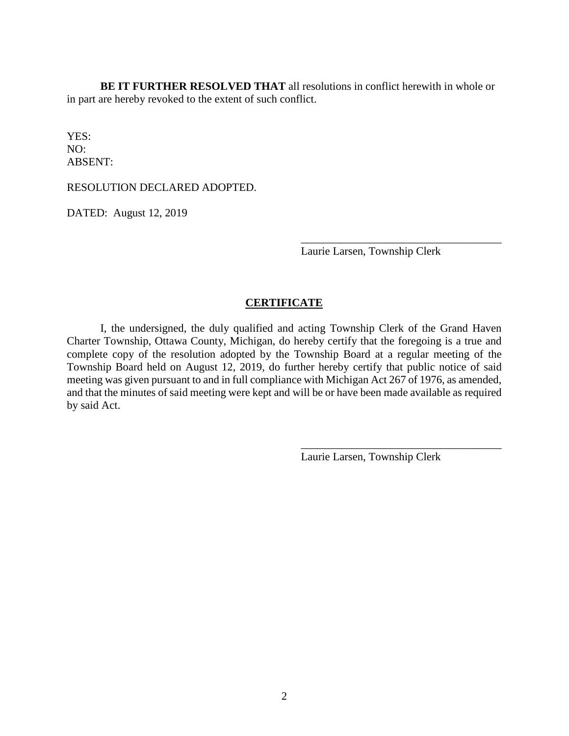**BE IT FURTHER RESOLVED THAT** all resolutions in conflict herewith in whole or in part are hereby revoked to the extent of such conflict.

YES: NO: ABSENT:

RESOLUTION DECLARED ADOPTED.

DATED: August 12, 2019

Laurie Larsen, Township Clerk

\_\_\_\_\_\_\_\_\_\_\_\_\_\_\_\_\_\_\_\_\_\_\_\_\_\_\_\_\_\_\_\_\_\_\_\_

# **CERTIFICATE**

I, the undersigned, the duly qualified and acting Township Clerk of the Grand Haven Charter Township, Ottawa County, Michigan, do hereby certify that the foregoing is a true and complete copy of the resolution adopted by the Township Board at a regular meeting of the Township Board held on August 12, 2019, do further hereby certify that public notice of said meeting was given pursuant to and in full compliance with Michigan Act 267 of 1976, as amended, and that the minutes of said meeting were kept and will be or have been made available as required by said Act.

Laurie Larsen, Township Clerk

\_\_\_\_\_\_\_\_\_\_\_\_\_\_\_\_\_\_\_\_\_\_\_\_\_\_\_\_\_\_\_\_\_\_\_\_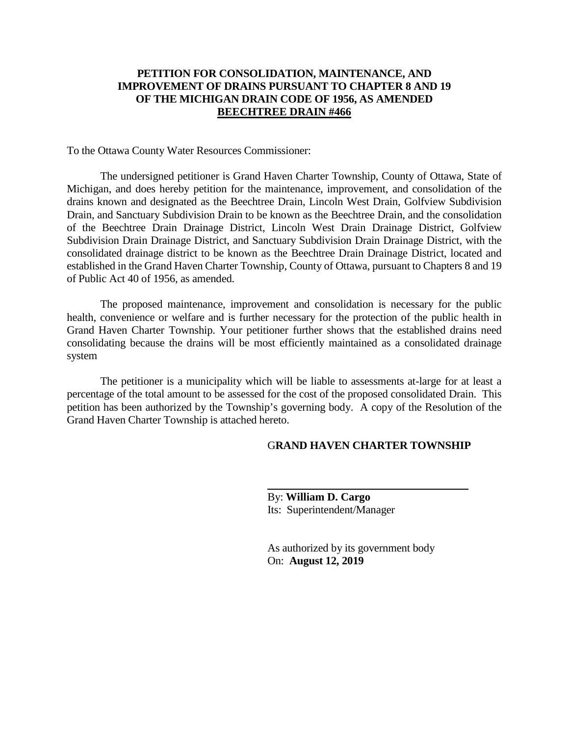# **PETITION FOR CONSOLIDATION, MAINTENANCE, AND IMPROVEMENT OF DRAINS PURSUANT TO CHAPTER 8 AND 19 OF THE MICHIGAN DRAIN CODE OF 1956, AS AMENDED BEECHTREE DRAIN #466**

To the Ottawa County Water Resources Commissioner:

The undersigned petitioner is Grand Haven Charter Township, County of Ottawa, State of Michigan, and does hereby petition for the maintenance, improvement, and consolidation of the drains known and designated as the Beechtree Drain, Lincoln West Drain, Golfview Subdivision Drain, and Sanctuary Subdivision Drain to be known as the Beechtree Drain, and the consolidation of the Beechtree Drain Drainage District, Lincoln West Drain Drainage District, Golfview Subdivision Drain Drainage District, and Sanctuary Subdivision Drain Drainage District, with the consolidated drainage district to be known as the Beechtree Drain Drainage District, located and established in the Grand Haven Charter Township, County of Ottawa, pursuant to Chapters 8 and 19 of Public Act 40 of 1956, as amended.

The proposed maintenance, improvement and consolidation is necessary for the public health, convenience or welfare and is further necessary for the protection of the public health in Grand Haven Charter Township. Your petitioner further shows that the established drains need consolidating because the drains will be most efficiently maintained as a consolidated drainage system

The petitioner is a municipality which will be liable to assessments at-large for at least a percentage of the total amount to be assessed for the cost of the proposed consolidated Drain. This petition has been authorized by the Township's governing body. A copy of the Resolution of the Grand Haven Charter Township is attached hereto.

# G**RAND HAVEN CHARTER TOWNSHIP**

By: **William D. Cargo** Its: Superintendent/Manager

As authorized by its government body On: **August 12, 2019**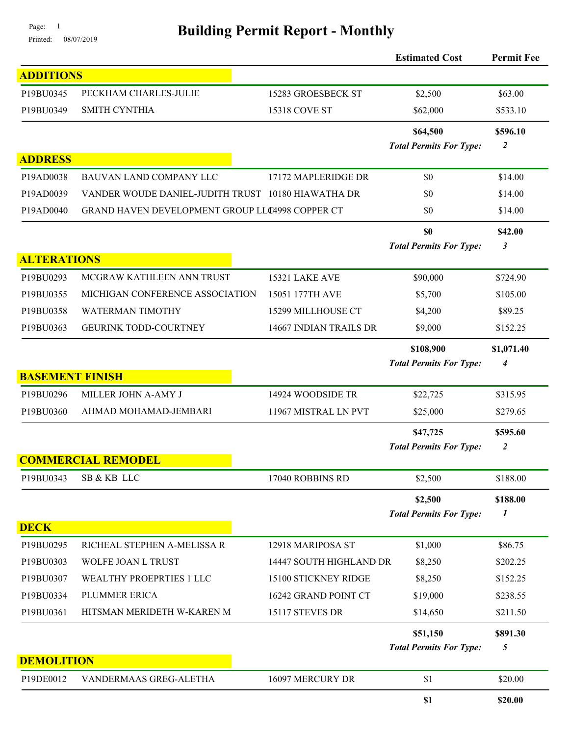# Page: 1<br>Printed: 08/07/2019 **Building Permit Report - Monthly**

|                        |                                                    |                         | <b>Estimated Cost</b>                     | <b>Permit Fee</b>            |
|------------------------|----------------------------------------------------|-------------------------|-------------------------------------------|------------------------------|
| <b>ADDITIONS</b>       |                                                    |                         |                                           |                              |
| P19BU0345              | PECKHAM CHARLES-JULIE                              | 15283 GROESBECK ST      | \$2,500                                   | \$63.00                      |
| P19BU0349              | <b>SMITH CYNTHIA</b>                               | 15318 COVE ST           | \$62,000                                  | \$533.10                     |
|                        |                                                    |                         | \$64,500                                  | \$596.10                     |
|                        |                                                    |                         | <b>Total Permits For Type:</b>            | $\boldsymbol{2}$             |
| <b>ADDRESS</b>         |                                                    |                         |                                           |                              |
| P19AD0038              | <b>BAUVAN LAND COMPANY LLC</b>                     | 17172 MAPLERIDGE DR     | \$0                                       | \$14.00                      |
| P19AD0039              | VANDER WOUDE DANIEL-JUDITH TRUST 10180 HIAWATHA DR |                         | \$0                                       | \$14.00                      |
| P19AD0040              | GRAND HAVEN DEVELOPMENT GROUP LLC4998 COPPER CT    |                         | \$0                                       | \$14.00                      |
|                        |                                                    |                         | \$0                                       | \$42.00                      |
|                        |                                                    |                         | <b>Total Permits For Type:</b>            | 3                            |
| <b>ALTERATIONS</b>     |                                                    |                         |                                           |                              |
| P19BU0293              | MCGRAW KATHLEEN ANN TRUST                          | 15321 LAKE AVE          | \$90,000                                  | \$724.90                     |
| P19BU0355              | MICHIGAN CONFERENCE ASSOCIATION                    | 15051 177TH AVE         | \$5,700                                   | \$105.00                     |
| P19BU0358              | <b>WATERMAN TIMOTHY</b>                            | 15299 MILLHOUSE CT      | \$4,200                                   | \$89.25                      |
| P19BU0363              | <b>GEURINK TODD-COURTNEY</b>                       | 14667 INDIAN TRAILS DR  | \$9,000                                   | \$152.25                     |
|                        |                                                    |                         | \$108,900                                 | \$1,071.40                   |
|                        |                                                    |                         | <b>Total Permits For Type:</b>            | $\boldsymbol{4}$             |
| <b>BASEMENT FINISH</b> |                                                    |                         |                                           |                              |
| P19BU0296              | MILLER JOHN A-AMY J                                | 14924 WOODSIDE TR       | \$22,725                                  | \$315.95                     |
| P19BU0360              | AHMAD MOHAMAD-JEMBARI                              | 11967 MISTRAL LN PVT    | \$25,000                                  | \$279.65                     |
|                        |                                                    |                         | \$47,725                                  | \$595.60                     |
|                        | <b>COMMERCIAL REMODEL</b>                          |                         | <b>Total Permits For Type:</b>            | $\overline{2}$               |
| P19BU0343              | SB & KB LLC                                        | 17040 ROBBINS RD        | \$2,500                                   | \$188.00                     |
|                        |                                                    |                         |                                           |                              |
|                        |                                                    |                         | \$2,500<br><b>Total Permits For Type:</b> | \$188.00<br>$\boldsymbol{l}$ |
| <b>DECK</b>            |                                                    |                         |                                           |                              |
| P19BU0295              | RICHEAL STEPHEN A-MELISSA R                        | 12918 MARIPOSA ST       | \$1,000                                   | \$86.75                      |
| P19BU0303              | WOLFE JOAN L TRUST                                 | 14447 SOUTH HIGHLAND DR | \$8,250                                   | \$202.25                     |
| P19BU0307              | WEALTHY PROEPRTIES 1 LLC                           | 15100 STICKNEY RIDGE    | \$8,250                                   | \$152.25                     |
| P19BU0334              | PLUMMER ERICA                                      | 16242 GRAND POINT CT    | \$19,000                                  | \$238.55                     |
| P19BU0361              | HITSMAN MERIDETH W-KAREN M                         | 15117 STEVES DR         | \$14,650                                  | \$211.50                     |
|                        |                                                    |                         | \$51,150                                  | \$891.30                     |
|                        |                                                    |                         | <b>Total Permits For Type:</b>            | 5                            |
| <b>DEMOLITION</b>      |                                                    |                         |                                           |                              |
| P19DE0012              | VANDERMAAS GREG-ALETHA                             | 16097 MERCURY DR        | \$1                                       | \$20.00                      |
|                        |                                                    |                         | \$1                                       | \$20.00                      |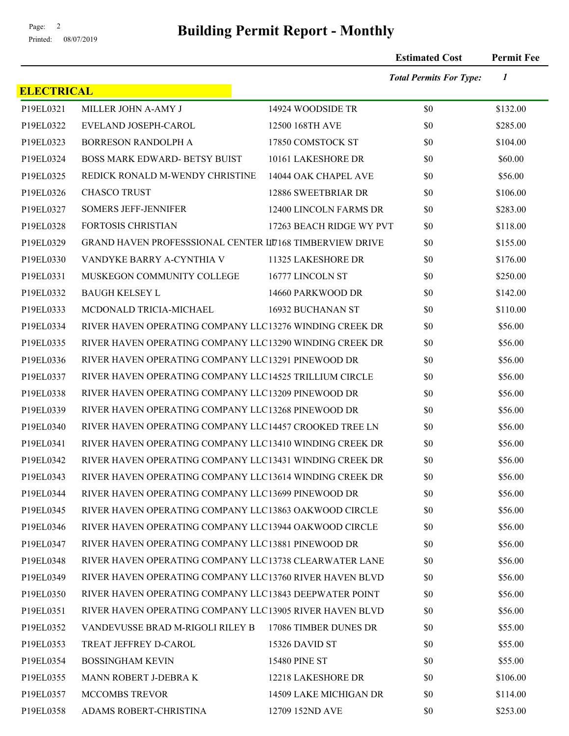# Page: <sup>2</sup><br>Printed: 08/07/2019 **Building Permit Report - Monthly**

|                   |                                                                 |                          | <b>Estimated Cost</b>          | <b>Permit Fee</b> |
|-------------------|-----------------------------------------------------------------|--------------------------|--------------------------------|-------------------|
|                   |                                                                 |                          | <b>Total Permits For Type:</b> | $\boldsymbol{l}$  |
| <b>ELECTRICAL</b> |                                                                 |                          |                                |                   |
| P19EL0321         | MILLER JOHN A-AMY J                                             | 14924 WOODSIDE TR        | \$0                            | \$132.00          |
| P19EL0322         | EVELAND JOSEPH-CAROL                                            | 12500 168TH AVE          | \$0                            | \$285.00          |
| P19EL0323         | <b>BORRESON RANDOLPH A</b>                                      | 17850 COMSTOCK ST        | \$0                            | \$104.00          |
| P19EL0324         | <b>BOSS MARK EDWARD- BETSY BUIST</b>                            | 10161 LAKESHORE DR       | \$0                            | \$60.00           |
| P19EL0325         | REDICK RONALD M-WENDY CHRISTINE                                 | 14044 OAK CHAPEL AVE     | \$0                            | \$56.00           |
| P19EL0326         | <b>CHASCO TRUST</b>                                             | 12886 SWEETBRIAR DR      | \$0                            | \$106.00          |
| P19EL0327         | <b>SOMERS JEFF-JENNIFER</b>                                     | 12400 LINCOLN FARMS DR   | \$0                            | \$283.00          |
| P19EL0328         | <b>FORTOSIS CHRISTIAN</b>                                       | 17263 BEACH RIDGE WY PVT | \$0                            | \$118.00          |
| P19EL0329         | <b>GRAND HAVEN PROFESSSIONAL CENTER LIT168 TIMBERVIEW DRIVE</b> |                          | \$0                            | \$155.00          |
| P19EL0330         | VANDYKE BARRY A-CYNTHIA V                                       | 11325 LAKESHORE DR       | \$0                            | \$176.00          |
| P19EL0331         | MUSKEGON COMMUNITY COLLEGE                                      | 16777 LINCOLN ST         | \$0                            | \$250.00          |
| P19EL0332         | <b>BAUGH KELSEY L</b>                                           | 14660 PARKWOOD DR        | \$0                            | \$142.00          |
| P19EL0333         | MCDONALD TRICIA-MICHAEL                                         | 16932 BUCHANAN ST        | \$0                            | \$110.00          |
| P19EL0334         | RIVER HAVEN OPERATING COMPANY LLC13276 WINDING CREEK DR         |                          | \$0                            | \$56.00           |
| P19EL0335         | RIVER HAVEN OPERATING COMPANY LLC13290 WINDING CREEK DR         |                          | \$0                            | \$56.00           |
| P19EL0336         | RIVER HAVEN OPERATING COMPANY LLC13291 PINEWOOD DR              |                          | \$0                            | \$56.00           |
| P19EL0337         | RIVER HAVEN OPERATING COMPANY LLC14525 TRILLIUM CIRCLE          |                          | \$0                            | \$56.00           |
| P19EL0338         | RIVER HAVEN OPERATING COMPANY LLC13209 PINEWOOD DR              |                          | \$0                            | \$56.00           |
| P19EL0339         | RIVER HAVEN OPERATING COMPANY LLC13268 PINEWOOD DR              |                          | \$0                            | \$56.00           |
| P19EL0340         | RIVER HAVEN OPERATING COMPANY LLC14457 CROOKED TREE LN          |                          | \$0                            | \$56.00           |
| P19EL0341         | RIVER HAVEN OPERATING COMPANY LLC13410 WINDING CREEK DR         |                          | \$0                            | \$56.00           |
| P19EL0342         | RIVER HAVEN OPERATING COMPANY LLC13431 WINDING CREEK DR         |                          | \$0                            | \$56.00           |
| P19EL0343         | RIVER HAVEN OPERATING COMPANY LLC13614 WINDING CREEK DR         |                          | \$0                            | \$56.00           |
| P19EL0344         | RIVER HAVEN OPERATING COMPANY LLC13699 PINEWOOD DR              |                          | \$0                            | \$56.00           |
| P19EL0345         | RIVER HAVEN OPERATING COMPANY LLC13863 OAKWOOD CIRCLE           |                          | \$0                            | \$56.00           |
| P19EL0346         | RIVER HAVEN OPERATING COMPANY LLC13944 OAKWOOD CIRCLE           |                          | \$0                            | \$56.00           |
| P19EL0347         | RIVER HAVEN OPERATING COMPANY LLC13881 PINEWOOD DR              |                          | \$0                            | \$56.00           |
| P19EL0348         | RIVER HAVEN OPERATING COMPANY LLC13738 CLEARWATER LANE          |                          | \$0                            | \$56.00           |
| P19EL0349         | RIVER HAVEN OPERATING COMPANY LLC13760 RIVER HAVEN BLVD         |                          | \$0                            | \$56.00           |
| P19EL0350         | RIVER HAVEN OPERATING COMPANY LLC13843 DEEPWATER POINT          |                          | \$0                            | \$56.00           |
| P19EL0351         | RIVER HAVEN OPERATING COMPANY LLC13905 RIVER HAVEN BLVD         |                          | \$0                            | \$56.00           |
| P19EL0352         | VANDEVUSSE BRAD M-RIGOLI RILEY B                                | 17086 TIMBER DUNES DR    | \$0                            | \$55.00           |
| P19EL0353         | TREAT JEFFREY D-CAROL                                           | 15326 DAVID ST           | \$0                            | \$55.00           |
| P19EL0354         | <b>BOSSINGHAM KEVIN</b>                                         | <b>15480 PINE ST</b>     | \$0                            | \$55.00           |
| P19EL0355         | MANN ROBERT J-DEBRA K                                           | 12218 LAKESHORE DR       | \$0                            | \$106.00          |
| P19EL0357         | <b>MCCOMBS TREVOR</b>                                           | 14509 LAKE MICHIGAN DR   | \$0                            | \$114.00          |
| P19EL0358         | ADAMS ROBERT-CHRISTINA                                          | 12709 152ND AVE          | \$0                            | \$253.00          |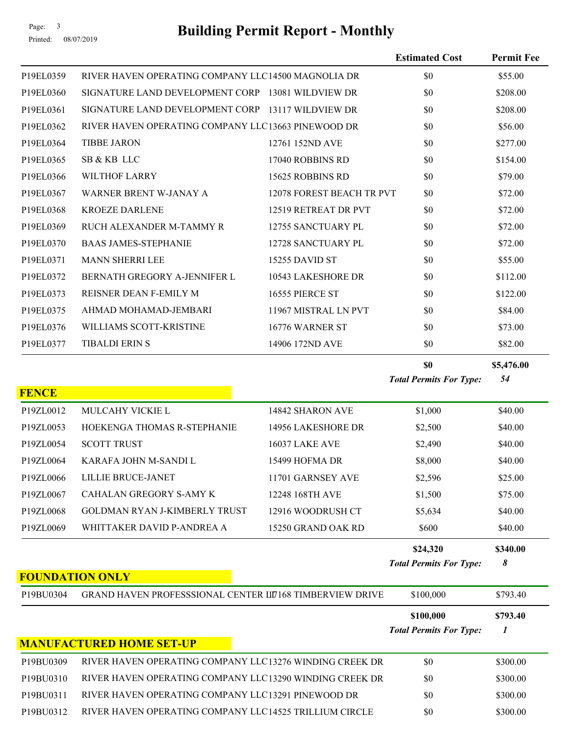**FOUNDATION ONLY**

# Page: 3<br>Printed: 08/07/2019 **Building Permit Report - Monthly**

|              |                                                    |                           | <b>Estimated Cost</b>          | <b>Permit Fee</b> |
|--------------|----------------------------------------------------|---------------------------|--------------------------------|-------------------|
| P19EL0359    | RIVER HAVEN OPERATING COMPANY LLC14500 MAGNOLIA DR |                           | \$0                            | \$55.00           |
| P19EL0360    | SIGNATURE LAND DEVELOPMENT CORP 13081 WILDVIEW DR  |                           | \$0                            | \$208.00          |
| P19EL0361    | SIGNATURE LAND DEVELOPMENT CORP                    | 13117 WILDVIEW DR         | \$0                            | \$208.00          |
| P19EL0362    | RIVER HAVEN OPERATING COMPANY LLC13663 PINEWOOD DR |                           | \$0                            | \$56.00           |
| P19EL0364    | <b>TIBBE JARON</b>                                 | 12761 152ND AVE           | \$0                            | \$277.00          |
| P19EL0365    | SB & KB LLC                                        | 17040 ROBBINS RD          | \$0                            | \$154.00          |
| P19EL0366    | <b>WILTHOF LARRY</b>                               | 15625 ROBBINS RD          | \$0                            | \$79.00           |
| P19EL0367    | WARNER BRENT W-JANAY A                             | 12078 FOREST BEACH TR PVT | \$0                            | \$72.00           |
| P19EL0368    | <b>KROEZE DARLENE</b>                              | 12519 RETREAT DR PVT      | \$0                            | \$72.00           |
| P19EL0369    | RUCH ALEXANDER M-TAMMY R                           | 12755 SANCTUARY PL        | \$0                            | \$72.00           |
| P19EL0370    | <b>BAAS JAMES-STEPHANIE</b>                        | 12728 SANCTUARY PL        | \$0                            | \$72.00           |
| P19EL0371    | <b>MANN SHERRI LEE</b>                             | 15255 DAVID ST            | \$0                            | \$55.00           |
| P19EL0372    | BERNATH GREGORY A-JENNIFER L                       | 10543 LAKESHORE DR        | \$0                            | \$112.00          |
| P19EL0373    | REISNER DEAN F-EMILY M                             | 16555 PIERCE ST           | \$0                            | \$122.00          |
| P19EL0375    | AHMAD MOHAMAD-JEMBARI                              | 11967 MISTRAL LN PVT      | \$0                            | \$84.00           |
| P19EL0376    | WILLIAMS SCOTT-KRISTINE                            | 16776 WARNER ST           | \$0                            | \$73.00           |
| P19EL0377    | <b>TIBALDI ERIN S</b>                              | 14906 172ND AVE           | \$0                            | \$82.00           |
|              |                                                    |                           | \$0                            | \$5,476.00        |
| <b>FENCE</b> |                                                    |                           | <b>Total Permits For Type:</b> | 54                |
| P19ZL0012    | MULCAHY VICKIE L                                   | 14842 SHARON AVE          | \$1,000                        | \$40.00           |
| P19ZL0053    | HOEKENGA THOMAS R-STEPHANIE                        | 14956 LAKESHORE DR        | \$2,500                        | \$40.00           |
| P19ZL0054    | <b>SCOTT TRUST</b>                                 | 16037 LAKE AVE            | \$2,490                        | \$40.00           |
| P19ZL0064    | KARAFA JOHN M-SANDI L                              | 15499 HOFMA DR            | \$8,000                        | \$40.00           |
| P19ZL0066    | LILLIE BRUCE-JANET                                 | 11701 GARNSEY AVE         | \$2,596                        | \$25.00           |
| P19ZL0067    | CAHALAN GREGORY S-AMY K                            | 12248 168TH AVE           | \$1,500                        | \$75.00           |
| P19ZL0068    | GOLDMAN RYAN J-KIMBERLY TRUST                      | 12916 WOODRUSH CT         | \$5,634                        | \$40.00           |
| P19ZL0069    | WHITTAKER DAVID P-ANDREA A                         | 15250 GRAND OAK RD        | \$600                          | \$40.00           |
|              |                                                    |                           | \$24,320                       | \$340.00          |
|              |                                                    |                           | <b>Total Permits For Type:</b> | 8                 |

| P19BU0304                          | <b>GRAND HAVEN PROFESSSIONAL CENTER LIT168 TIMBERVIEW DRIVE</b> | \$100,000                                   | \$793.40 |
|------------------------------------|-----------------------------------------------------------------|---------------------------------------------|----------|
|                                    |                                                                 | \$100,000<br><b>Total Permits For Type:</b> | \$793.40 |
|                                    | <b>MANUFACTURED HOME SET-UP</b>                                 |                                             |          |
| P19BU0309                          | RIVER HAVEN OPERATING COMPANY LLC13276 WINDING CREEK DR         | \$0                                         | \$300.00 |
| P19BU0310                          | RIVER HAVEN OPERATING COMPANY LLC13290 WINDING CREEK DR         | \$0                                         | \$300.00 |
| P <sub>19</sub> BU <sub>0311</sub> | RIVER HAVEN OPERATING COMPANY LLC13291 PINEWOOD DR              | \$0                                         | \$300.00 |
| P <sub>19</sub> BU <sub>0312</sub> | RIVER HAVEN OPERATING COMPANY LLC14525 TRILLIUM CIRCLE          | \$0                                         | \$300.00 |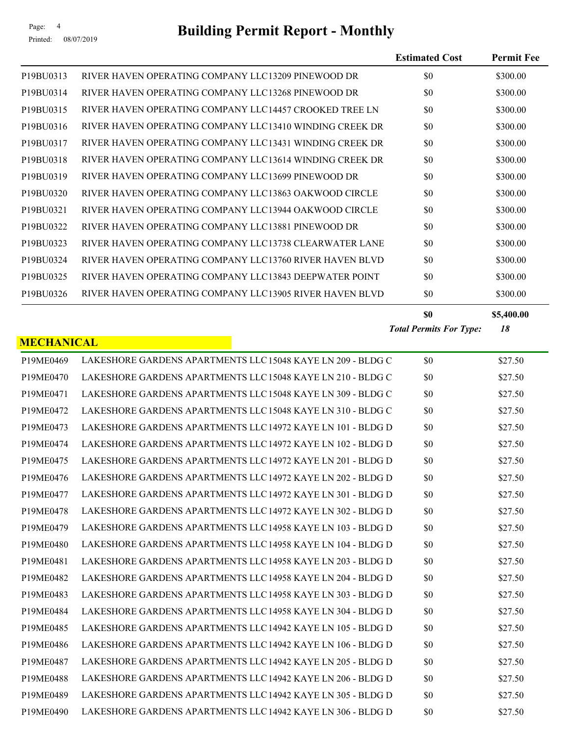# Page: 4<br>Printed: 08/07/2019 **Building Permit Report - Monthly**

|                   |                                                             | <b>Estimated Cost</b>          | <b>Permit Fee</b> |
|-------------------|-------------------------------------------------------------|--------------------------------|-------------------|
| P19BU0313         | RIVER HAVEN OPERATING COMPANY LLC13209 PINEWOOD DR          | \$0                            | \$300.00          |
| P19BU0314         | RIVER HAVEN OPERATING COMPANY LLC13268 PINEWOOD DR          | \$0                            | \$300.00          |
| P19BU0315         | RIVER HAVEN OPERATING COMPANY LLC14457 CROOKED TREE LN      | \$0                            | \$300.00          |
| P19BU0316         | RIVER HAVEN OPERATING COMPANY LLC13410 WINDING CREEK DR     | \$0                            | \$300.00          |
| P19BU0317         | RIVER HAVEN OPERATING COMPANY LLC13431 WINDING CREEK DR     | \$0                            | \$300.00          |
| P19BU0318         | RIVER HAVEN OPERATING COMPANY LLC13614 WINDING CREEK DR     | \$0                            | \$300.00          |
| P19BU0319         | RIVER HAVEN OPERATING COMPANY LLC13699 PINEWOOD DR          | \$0                            | \$300.00          |
| P19BU0320         | RIVER HAVEN OPERATING COMPANY LLC13863 OAKWOOD CIRCLE       | \$0                            | \$300.00          |
| P19BU0321         | RIVER HAVEN OPERATING COMPANY LLC13944 OAKWOOD CIRCLE       | \$0                            | \$300.00          |
| P19BU0322         | RIVER HAVEN OPERATING COMPANY LLC13881 PINEWOOD DR          | \$0                            | \$300.00          |
| P19BU0323         | RIVER HAVEN OPERATING COMPANY LLC13738 CLEARWATER LANE      | \$0                            | \$300.00          |
| P19BU0324         | RIVER HAVEN OPERATING COMPANY LLC13760 RIVER HAVEN BLVD     | \$0                            | \$300.00          |
| P19BU0325         | RIVER HAVEN OPERATING COMPANY LLC13843 DEEPWATER POINT      | \$0                            | \$300.00          |
| P19BU0326         | RIVER HAVEN OPERATING COMPANY LLC13905 RIVER HAVEN BLVD     | \$0                            | \$300.00          |
|                   |                                                             | \$0                            | \$5,400.00        |
|                   |                                                             | <b>Total Permits For Type:</b> | 18                |
| <b>MECHANICAL</b> |                                                             |                                |                   |
| P19ME0469         | LAKESHORE GARDENS APARTMENTS LLC 15048 KAYE LN 209 - BLDG C | \$0                            | \$27.50           |
| P19ME0470         | LAKESHORE GARDENS APARTMENTS LLC 15048 KAYE LN 210 - BLDG C | \$0                            | \$27.50           |
| P19ME0471         | LAKESHORE GARDENS APARTMENTS LLC 15048 KAYE LN 309 - BLDG C | \$0                            | \$27.50           |
| P19ME0472         | LAKESHORE GARDENS APARTMENTS LLC 15048 KAYE LN 310 - BLDG C | \$0                            | \$27.50           |
| P19ME0473         | LAKESHORE GARDENS APARTMENTS LLC 14972 KAYE LN 101 - BLDG D | \$0                            | \$27.50           |
| P19ME0474         | LAKESHORE GARDENS APARTMENTS LLC 14972 KAYE LN 102 - BLDG D | \$0                            | \$27.50           |
| P19ME0475         | LAKESHORE GARDENS APARTMENTS LLC 14972 KAYE LN 201 - BLDG D | \$0                            | \$27.50           |
| P19ME0476         | LAKESHORE GARDENS APARTMENTS LLC 14972 KAYE LN 202 - BLDG D | \$0                            | \$27.50           |
| P19ME0477         | LAKESHORE GARDENS APARTMENTS LLC 14972 KAYE LN 301 - BLDG D | \$0                            | \$27.50           |
| P19ME0478         | LAKESHORE GARDENS APARTMENTS LLC 14972 KAYE LN 302 - BLDG D | \$0                            | \$27.50           |
| P19ME0479         | LAKESHORE GARDENS APARTMENTS LLC 14958 KAYE LN 103 - BLDG D | \$0                            | \$27.50           |
| P19ME0480         | LAKESHORE GARDENS APARTMENTS LLC 14958 KAYE LN 104 - BLDG D | \$0                            | \$27.50           |
| P19ME0481         | LAKESHORE GARDENS APARTMENTS LLC 14958 KAYE LN 203 - BLDG D | \$0                            | \$27.50           |
| P19ME0482         | LAKESHORE GARDENS APARTMENTS LLC 14958 KAYE LN 204 - BLDG D | \$0                            | \$27.50           |
| P19ME0483         | LAKESHORE GARDENS APARTMENTS LLC 14958 KAYE LN 303 - BLDG D | \$0                            | \$27.50           |
| P19ME0484         | LAKESHORE GARDENS APARTMENTS LLC 14958 KAYE LN 304 - BLDG D | \$0                            | \$27.50           |
| P19ME0485         | LAKESHORE GARDENS APARTMENTS LLC 14942 KAYE LN 105 - BLDG D | \$0                            | \$27.50           |
| P19ME0486         | LAKESHORE GARDENS APARTMENTS LLC 14942 KAYE LN 106 - BLDG D | \$0                            | \$27.50           |
| P19ME0487         | LAKESHORE GARDENS APARTMENTS LLC 14942 KAYE LN 205 - BLDG D | \$0                            | \$27.50           |
| P19ME0488         | LAKESHORE GARDENS APARTMENTS LLC 14942 KAYE LN 206 - BLDG D | \$0                            | \$27.50           |
| P19ME0489         | LAKESHORE GARDENS APARTMENTS LLC 14942 KAYE LN 305 - BLDG D | \$0                            | \$27.50           |
| P19ME0490         | LAKESHORE GARDENS APARTMENTS LLC 14942 KAYE LN 306 - BLDG D | \$0                            | \$27.50           |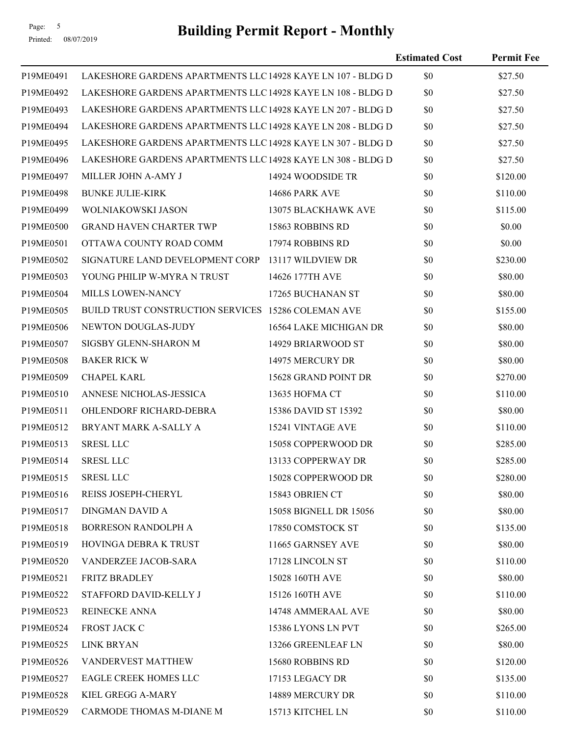# Printed: 08/07/2019

# Page: 5<br>Printed: 08/07/2019 **Building Permit Report - Monthly**

|           |                                                             |                        | <b>Estimated Cost</b> | <b>Permit Fee</b> |
|-----------|-------------------------------------------------------------|------------------------|-----------------------|-------------------|
| P19ME0491 | LAKESHORE GARDENS APARTMENTS LLC 14928 KAYE LN 107 - BLDG D |                        | \$0                   | \$27.50           |
| P19ME0492 | LAKESHORE GARDENS APARTMENTS LLC 14928 KAYE LN 108 - BLDG D |                        | \$0                   | \$27.50           |
| P19ME0493 | LAKESHORE GARDENS APARTMENTS LLC 14928 KAYE LN 207 - BLDG D |                        | \$0                   | \$27.50           |
| P19ME0494 | LAKESHORE GARDENS APARTMENTS LLC 14928 KAYE LN 208 - BLDG D |                        | \$0                   | \$27.50           |
| P19ME0495 | LAKESHORE GARDENS APARTMENTS LLC 14928 KAYE LN 307 - BLDG D |                        | \$0                   | \$27.50           |
| P19ME0496 | LAKESHORE GARDENS APARTMENTS LLC 14928 KAYE LN 308 - BLDG D |                        | \$0                   | \$27.50           |
| P19ME0497 | MILLER JOHN A-AMY J                                         | 14924 WOODSIDE TR      | \$0                   | \$120.00          |
| P19ME0498 | <b>BUNKE JULIE-KIRK</b>                                     | 14686 PARK AVE         | \$0                   | \$110.00          |
| P19ME0499 | WOLNIAKOWSKI JASON                                          | 13075 BLACKHAWK AVE    | \$0                   | \$115.00          |
| P19ME0500 | <b>GRAND HAVEN CHARTER TWP</b>                              | 15863 ROBBINS RD       | \$0                   | \$0.00            |
| P19ME0501 | OTTAWA COUNTY ROAD COMM                                     | 17974 ROBBINS RD       | \$0                   | \$0.00            |
| P19ME0502 | SIGNATURE LAND DEVELOPMENT CORP 13117 WILDVIEW DR           |                        | \$0                   | \$230.00          |
| P19ME0503 | YOUNG PHILIP W-MYRA N TRUST                                 | 14626 177TH AVE        | \$0                   | \$80.00           |
| P19ME0504 | MILLS LOWEN-NANCY                                           | 17265 BUCHANAN ST      | \$0                   | \$80.00           |
| P19ME0505 | BUILD TRUST CONSTRUCTION SERVICES 15286 COLEMAN AVE         |                        | \$0                   | \$155.00          |
| P19ME0506 | NEWTON DOUGLAS-JUDY                                         | 16564 LAKE MICHIGAN DR | \$0                   | \$80.00           |
| P19ME0507 | SIGSBY GLENN-SHARON M                                       | 14929 BRIARWOOD ST     | \$0                   | \$80.00           |
| P19ME0508 | <b>BAKER RICK W</b>                                         | 14975 MERCURY DR       | \$0                   | \$80.00           |
| P19ME0509 | <b>CHAPEL KARL</b>                                          | 15628 GRAND POINT DR   | \$0                   | \$270.00          |
| P19ME0510 | ANNESE NICHOLAS-JESSICA                                     | 13635 HOFMA CT         | \$0                   | \$110.00          |
| P19ME0511 | OHLENDORF RICHARD-DEBRA                                     | 15386 DAVID ST 15392   | \$0                   | \$80.00           |
| P19ME0512 | BRYANT MARK A-SALLY A                                       | 15241 VINTAGE AVE      | \$0                   | \$110.00          |
| P19ME0513 | <b>SRESL LLC</b>                                            | 15058 COPPERWOOD DR    | \$0                   | \$285.00          |
| P19ME0514 | <b>SRESL LLC</b>                                            | 13133 COPPERWAY DR     | \$0                   | \$285.00          |
| P19ME0515 | <b>SRESL LLC</b>                                            | 15028 COPPERWOOD DR    | \$0                   | \$280.00          |
| P19ME0516 | REISS JOSEPH-CHERYL                                         | 15843 OBRIEN CT        | \$0                   | \$80.00           |
| P19ME0517 | DINGMAN DAVID A                                             | 15058 BIGNELL DR 15056 | \$0                   | \$80.00           |
| P19ME0518 | <b>BORRESON RANDOLPH A</b>                                  | 17850 COMSTOCK ST      | \$0                   | \$135.00          |
| P19ME0519 | HOVINGA DEBRA K TRUST                                       | 11665 GARNSEY AVE      | \$0                   | \$80.00           |
| P19ME0520 | VANDERZEE JACOB-SARA                                        | 17128 LINCOLN ST       | \$0                   | \$110.00          |
| P19ME0521 | <b>FRITZ BRADLEY</b>                                        | 15028 160TH AVE        | \$0                   | \$80.00           |
| P19ME0522 | STAFFORD DAVID-KELLY J                                      | 15126 160TH AVE        | \$0                   | \$110.00          |
| P19ME0523 | REINECKE ANNA                                               | 14748 AMMERAAL AVE     | \$0                   | \$80.00           |
| P19ME0524 | FROST JACK C                                                | 15386 LYONS LN PVT     | \$0                   | \$265.00          |
| P19ME0525 | <b>LINK BRYAN</b>                                           | 13266 GREENLEAF LN     | \$0                   | \$80.00           |
| P19ME0526 | VANDERVEST MATTHEW                                          | 15680 ROBBINS RD       | \$0                   | \$120.00          |
| P19ME0527 | EAGLE CREEK HOMES LLC                                       | 17153 LEGACY DR        | \$0                   | \$135.00          |
| P19ME0528 | KIEL GREGG A-MARY                                           | 14889 MERCURY DR       | \$0                   | \$110.00          |
| P19ME0529 | CARMODE THOMAS M-DIANE M                                    | 15713 KITCHEL LN       | \$0                   | \$110.00          |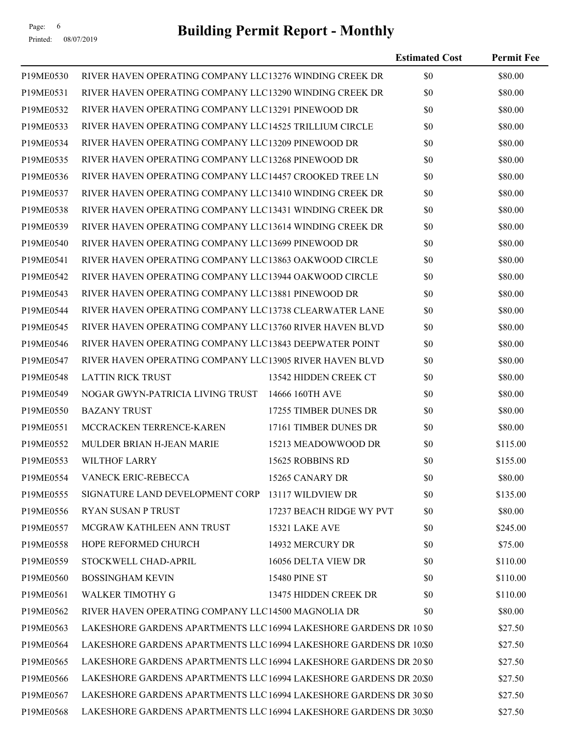# Page: 6<br>Printed: 08/07/2019 **Building Permit Report - Monthly**

|           |                                                                    |                          | <b>Estimated Cost</b> | <b>Permit Fee</b> |
|-----------|--------------------------------------------------------------------|--------------------------|-----------------------|-------------------|
| P19ME0530 | RIVER HAVEN OPERATING COMPANY LLC13276 WINDING CREEK DR            |                          | \$0                   | \$80.00           |
| P19ME0531 | RIVER HAVEN OPERATING COMPANY LLC13290 WINDING CREEK DR            |                          | \$0                   | \$80.00           |
| P19ME0532 | RIVER HAVEN OPERATING COMPANY LLC13291 PINEWOOD DR                 |                          | \$0                   | \$80.00           |
| P19ME0533 | RIVER HAVEN OPERATING COMPANY LLC14525 TRILLIUM CIRCLE             |                          | \$0                   | \$80.00           |
| P19ME0534 | RIVER HAVEN OPERATING COMPANY LLC13209 PINEWOOD DR                 |                          | \$0                   | \$80.00           |
| P19ME0535 | RIVER HAVEN OPERATING COMPANY LLC13268 PINEWOOD DR                 |                          | \$0                   | \$80.00           |
| P19ME0536 | RIVER HAVEN OPERATING COMPANY LLC14457 CROOKED TREE LN             |                          | \$0                   | \$80.00           |
| P19ME0537 | RIVER HAVEN OPERATING COMPANY LLC13410 WINDING CREEK DR            |                          | \$0                   | \$80.00           |
| P19ME0538 | RIVER HAVEN OPERATING COMPANY LLC13431 WINDING CREEK DR            |                          | \$0                   | \$80.00           |
| P19ME0539 | RIVER HAVEN OPERATING COMPANY LLC13614 WINDING CREEK DR            |                          | \$0                   | \$80.00           |
| P19ME0540 | RIVER HAVEN OPERATING COMPANY LLC13699 PINEWOOD DR                 |                          | \$0                   | \$80.00           |
| P19ME0541 | RIVER HAVEN OPERATING COMPANY LLC13863 OAKWOOD CIRCLE              |                          | \$0                   | \$80.00           |
| P19ME0542 | RIVER HAVEN OPERATING COMPANY LLC13944 OAKWOOD CIRCLE              |                          | \$0                   | \$80.00           |
| P19ME0543 | RIVER HAVEN OPERATING COMPANY LLC13881 PINEWOOD DR                 |                          | \$0                   | \$80.00           |
| P19ME0544 | RIVER HAVEN OPERATING COMPANY LLC13738 CLEARWATER LANE             |                          | \$0                   | \$80.00           |
| P19ME0545 | RIVER HAVEN OPERATING COMPANY LLC13760 RIVER HAVEN BLVD            |                          | \$0                   | \$80.00           |
| P19ME0546 | RIVER HAVEN OPERATING COMPANY LLC13843 DEEPWATER POINT             |                          | \$0                   | \$80.00           |
| P19ME0547 | RIVER HAVEN OPERATING COMPANY LLC13905 RIVER HAVEN BLVD            |                          | \$0                   | \$80.00           |
| P19ME0548 | <b>LATTIN RICK TRUST</b>                                           | 13542 HIDDEN CREEK CT    | \$0                   | \$80.00           |
| P19ME0549 | NOGAR GWYN-PATRICIA LIVING TRUST 14666 160TH AVE                   |                          | \$0                   | \$80.00           |
| P19ME0550 | <b>BAZANY TRUST</b>                                                | 17255 TIMBER DUNES DR    | \$0                   | \$80.00           |
| P19ME0551 | MCCRACKEN TERRENCE-KAREN                                           | 17161 TIMBER DUNES DR    | \$0                   | \$80.00           |
| P19ME0552 | <b>MULDER BRIAN H-JEAN MARIE</b>                                   | 15213 MEADOWWOOD DR      | \$0                   | \$115.00          |
| P19ME0553 | <b>WILTHOF LARRY</b>                                               | 15625 ROBBINS RD         | \$0                   | \$155.00          |
| P19ME0554 | VANECK ERIC-REBECCA                                                | 15265 CANARY DR          | \$0                   | \$80.00           |
| P19ME0555 | SIGNATURE LAND DEVELOPMENT CORP 13117 WILDVIEW DR                  |                          | \$0                   | \$135.00          |
| P19ME0556 | RYAN SUSAN P TRUST                                                 | 17237 BEACH RIDGE WY PVT | \$0                   | \$80.00           |
| P19ME0557 | MCGRAW KATHLEEN ANN TRUST                                          | <b>15321 LAKE AVE</b>    | \$0                   | \$245.00          |
| P19ME0558 | HOPE REFORMED CHURCH                                               | 14932 MERCURY DR         | \$0                   | \$75.00           |
| P19ME0559 | STOCKWELL CHAD-APRIL                                               | 16056 DELTA VIEW DR      | \$0                   | \$110.00          |
| P19ME0560 | <b>BOSSINGHAM KEVIN</b>                                            | <b>15480 PINE ST</b>     | \$0                   | \$110.00          |
| P19ME0561 | WALKER TIMOTHY G                                                   | 13475 HIDDEN CREEK DR    | \$0                   | \$110.00          |
| P19ME0562 | RIVER HAVEN OPERATING COMPANY LLC14500 MAGNOLIA DR                 |                          | \$0                   | \$80.00           |
| P19ME0563 | LAKESHORE GARDENS APARTMENTS LLC 16994 LAKESHORE GARDENS DR 10.80  |                          |                       | \$27.50           |
| P19ME0564 | LAKESHORE GARDENS APARTMENTS LLC 16994 LAKESHORE GARDENS DR 10.30  |                          |                       | \$27.50           |
| P19ME0565 | LAKESHORE GARDENS APARTMENTS LLC 16994 LAKESHORE GARDENS DR 20.80  |                          |                       | \$27.50           |
| P19ME0566 | LAKESHORE GARDENS APARTMENTS LLC 16994 LAKESHORE GARDENS DR 20.30  |                          |                       | \$27.50           |
| P19ME0567 | LAKESHORE GARDENS APARTMENTS LLC 16994 LAKESHORE GARDENS DR 30 \$0 |                          |                       | \$27.50           |
| P19ME0568 | LAKESHORE GARDENS APARTMENTS LLC 16994 LAKESHORE GARDENS DR 30.50  |                          |                       | \$27.50           |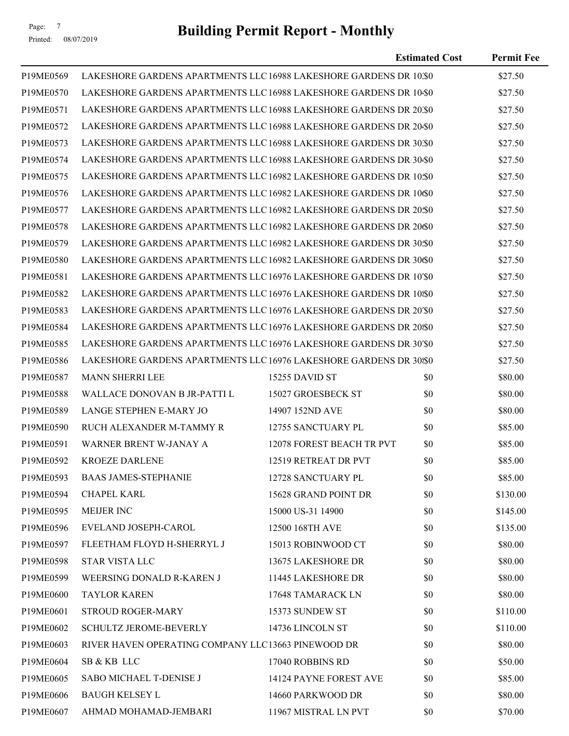# Page: 7<br>Printed: 08/07/2019 **Building Permit Report - Monthly**

|           |                                                                    |                           | <b>Estimated Cost</b> | <b>Permit Fee</b> |
|-----------|--------------------------------------------------------------------|---------------------------|-----------------------|-------------------|
| P19ME0569 | LAKESHORE GARDENS APARTMENTS LLC 16988 LAKESHORE GARDENS DR 10.80  |                           |                       | \$27.50           |
| P19ME0570 | LAKESHORE GARDENS APARTMENTS LLC 16988 LAKESHORE GARDENS DR 10-\$0 |                           |                       | \$27.50           |
| P19ME0571 | LAKESHORE GARDENS APARTMENTS LLC 16988 LAKESHORE GARDENS DR 20.30  |                           |                       | \$27.50           |
| P19ME0572 | LAKESHORE GARDENS APARTMENTS LLC 16988 LAKESHORE GARDENS DR 20480  |                           |                       | \$27.50           |
| P19ME0573 | LAKESHORE GARDENS APARTMENTS LLC 16988 LAKESHORE GARDENS DR 30.50  |                           |                       | \$27.50           |
| P19ME0574 | LAKESHORE GARDENS APARTMENTS LLC 16988 LAKESHORE GARDENS DR 30-\$0 |                           |                       | \$27.50           |
| P19ME0575 | LAKESHORE GARDENS APARTMENTS LLC 16982 LAKESHORE GARDENS DR 10:\$0 |                           |                       | \$27.50           |
| P19ME0576 | LAKESHORE GARDENS APARTMENTS LLC 16982 LAKESHORE GARDENS DR 10¢0   |                           |                       | \$27.50           |
| P19ME0577 | LAKESHORE GARDENS APARTMENTS LLC 16982 LAKESHORE GARDENS DR 20:\$0 |                           |                       | \$27.50           |
| P19ME0578 | LAKESHORE GARDENS APARTMENTS LLC 16982 LAKESHORE GARDENS DR 2000   |                           |                       | \$27.50           |
| P19ME0579 | LAKESHORE GARDENS APARTMENTS LLC 16982 LAKESHORE GARDENS DR 30:50  |                           |                       | \$27.50           |
| P19ME0580 | LAKESHORE GARDENS APARTMENTS LLC 16982 LAKESHORE GARDENS DR 30\\$0 |                           |                       | \$27.50           |
| P19ME0581 | LAKESHORE GARDENS APARTMENTS LLC 16976 LAKESHORE GARDENS DR 10'\$0 |                           |                       | \$27.50           |
| P19ME0582 | LAKESHORE GARDENS APARTMENTS LLC 16976 LAKESHORE GARDENS DR 10\\$0 |                           |                       | \$27.50           |
| P19ME0583 | LAKESHORE GARDENS APARTMENTS LLC 16976 LAKESHORE GARDENS DR 20'\$0 |                           |                       | \$27.50           |
| P19ME0584 | LAKESHORE GARDENS APARTMENTS LLC 16976 LAKESHORE GARDENS DR 20%0   |                           |                       | \$27.50           |
| P19ME0585 | LAKESHORE GARDENS APARTMENTS LLC 16976 LAKESHORE GARDENS DR 30'\$0 |                           |                       | \$27.50           |
| P19ME0586 | LAKESHORE GARDENS APARTMENTS LLC 16976 LAKESHORE GARDENS DR 30%0   |                           |                       | \$27.50           |
| P19ME0587 | <b>MANN SHERRI LEE</b>                                             | 15255 DAVID ST            | \$0                   | \$80.00           |
| P19ME0588 | WALLACE DONOVAN B JR-PATTI L                                       | 15027 GROESBECK ST        | \$0                   | \$80.00           |
| P19ME0589 | <b>LANGE STEPHEN E-MARY JO</b>                                     | 14907 152ND AVE           | \$0                   | \$80.00           |
| P19ME0590 | RUCH ALEXANDER M-TAMMY R                                           | 12755 SANCTUARY PL        | \$0                   | \$85.00           |
| P19ME0591 | WARNER BRENT W-JANAY A                                             | 12078 FOREST BEACH TR PVT | \$0                   | \$85.00           |
| P19ME0592 | <b>KROEZE DARLENE</b>                                              | 12519 RETREAT DR PVT      | \$0                   | \$85.00           |
| P19ME0593 | <b>BAAS JAMES-STEPHANIE</b>                                        | 12728 SANCTUARY PL        | \$0                   | \$85.00           |
| P19ME0594 | <b>CHAPEL KARL</b>                                                 | 15628 GRAND POINT DR      | \$0                   | \$130.00          |
| P19ME0595 | MEIJER INC                                                         | 15000 US-31 14900         | \$0                   | \$145.00          |
| P19ME0596 | EVELAND JOSEPH-CAROL                                               | 12500 168TH AVE           | \$0                   | \$135.00          |
| P19ME0597 | FLEETHAM FLOYD H-SHERRYL J                                         | 15013 ROBINWOOD CT        | \$0                   | \$80.00           |
| P19ME0598 | STAR VISTA LLC                                                     | 13675 LAKESHORE DR        | \$0                   | \$80.00           |
| P19ME0599 | WEERSING DONALD R-KAREN J                                          | 11445 LAKESHORE DR        | \$0                   | \$80.00           |
| P19ME0600 | <b>TAYLOR KAREN</b>                                                | 17648 TAMARACK LN         | \$0                   | \$80.00           |
| P19ME0601 | <b>STROUD ROGER-MARY</b>                                           | 15373 SUNDEW ST           | \$0                   | \$110.00          |
| P19ME0602 | <b>SCHULTZ JEROME-BEVERLY</b>                                      | 14736 LINCOLN ST          | \$0                   | \$110.00          |
| P19ME0603 | RIVER HAVEN OPERATING COMPANY LLC13663 PINEWOOD DR                 |                           | \$0                   | \$80.00           |
| P19ME0604 | SB & KB LLC                                                        | 17040 ROBBINS RD          | \$0                   | \$50.00           |
| P19ME0605 | SABO MICHAEL T-DENISE J                                            | 14124 PAYNE FOREST AVE    | \$0                   | \$85.00           |
| P19ME0606 | <b>BAUGH KELSEY L</b>                                              | 14660 PARKWOOD DR         | \$0                   | \$80.00           |
| P19ME0607 | AHMAD MOHAMAD-JEMBARI                                              | 11967 MISTRAL LN PVT      | \$0                   | \$70.00           |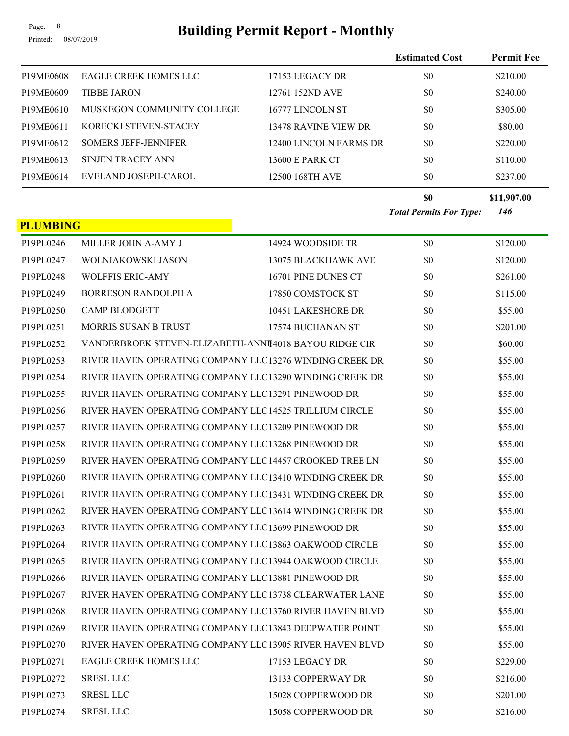# Page: 8<br>**Building Permit Report - Monthly**

**Estimated Cost Permit Fee**

Printed: 08/07/2019

| P19ME0608       | <b>EAGLE CREEK HOMES LLC</b>                            | 17153 LEGACY DR             | \$0                            | \$210.00    |
|-----------------|---------------------------------------------------------|-----------------------------|--------------------------------|-------------|
| P19ME0609       | <b>TIBBE JARON</b>                                      | 12761 152ND AVE             | \$0                            | \$240.00    |
| P19ME0610       | MUSKEGON COMMUNITY COLLEGE                              | 16777 LINCOLN ST            | \$0                            | \$305.00    |
| P19ME0611       | KORECKI STEVEN-STACEY                                   | <b>13478 RAVINE VIEW DR</b> | \$0                            | \$80.00     |
| P19ME0612       | <b>SOMERS JEFF-JENNIFER</b>                             | 12400 LINCOLN FARMS DR      | \$0                            | \$220.00    |
| P19ME0613       | <b>SINJEN TRACEY ANN</b>                                | 13600 E PARK CT             | \$0                            | \$110.00    |
| P19ME0614       | EVELAND JOSEPH-CAROL                                    | 12500 168TH AVE             | \$0                            | \$237.00    |
|                 |                                                         |                             | \$0                            | \$11,907.00 |
|                 |                                                         |                             | <b>Total Permits For Type:</b> | 146         |
| <b>PLUMBING</b> |                                                         |                             |                                |             |
| P19PL0246       | MILLER JOHN A-AMY J                                     | 14924 WOODSIDE TR           | \$0                            | \$120.00    |
| P19PL0247       | WOLNIAKOWSKI JASON                                      | 13075 BLACKHAWK AVE         | \$0                            | \$120.00    |
| P19PL0248       | <b>WOLFFIS ERIC-AMY</b>                                 | 16701 PINE DUNES CT         | \$0                            | \$261.00    |
| P19PL0249       | <b>BORRESON RANDOLPH A</b>                              | 17850 COMSTOCK ST           | \$0                            | \$115.00    |
| P19PL0250       | <b>CAMP BLODGETT</b>                                    | 10451 LAKESHORE DR          | \$0                            | \$55.00     |
| P19PL0251       | <b>MORRIS SUSAN B TRUST</b>                             | 17574 BUCHANAN ST           | \$0                            | \$201.00    |
| P19PL0252       | VANDERBROEK STEVEN-ELIZABETH-ANNE4018 BAYOU RIDGE CIR   |                             | \$0                            | \$60.00     |
| P19PL0253       | RIVER HAVEN OPERATING COMPANY LLC13276 WINDING CREEK DR |                             | \$0                            | \$55.00     |
| P19PL0254       | RIVER HAVEN OPERATING COMPANY LLC13290 WINDING CREEK DR |                             | \$0                            | \$55.00     |
| P19PL0255       | RIVER HAVEN OPERATING COMPANY LLC13291 PINEWOOD DR      |                             | \$0                            | \$55.00     |
| P19PL0256       | RIVER HAVEN OPERATING COMPANY LLC14525 TRILLIUM CIRCLE  |                             | \$0                            | \$55.00     |
| P19PL0257       | RIVER HAVEN OPERATING COMPANY LLC13209 PINEWOOD DR      |                             | \$0                            | \$55.00     |
| P19PL0258       | RIVER HAVEN OPERATING COMPANY LLC13268 PINEWOOD DR      |                             | \$0                            | \$55.00     |
| P19PL0259       | RIVER HAVEN OPERATING COMPANY LLC14457 CROOKED TREE LN  |                             | \$0                            | \$55.00     |
| P19PL0260       | RIVER HAVEN OPERATING COMPANY LLC13410 WINDING CREEK DR |                             | \$0                            | \$55.00     |
| P19PL0261       | RIVER HAVEN OPERATING COMPANY LLC13431 WINDING CREEK DR |                             | \$0                            | \$55.00     |
| P19PL0262       | RIVER HAVEN OPERATING COMPANY LLC13614 WINDING CREEK DR |                             | \$0                            | \$55.00     |
| P19PL0263       | RIVER HAVEN OPERATING COMPANY LLC13699 PINEWOOD DR      |                             | \$0                            | \$55.00     |
| P19PL0264       | RIVER HAVEN OPERATING COMPANY LLC13863 OAKWOOD CIRCLE   |                             | \$0                            | \$55.00     |
| P19PL0265       | RIVER HAVEN OPERATING COMPANY LLC13944 OAKWOOD CIRCLE   |                             | \$0                            | \$55.00     |
| P19PL0266       | RIVER HAVEN OPERATING COMPANY LLC13881 PINEWOOD DR      |                             | \$0                            | \$55.00     |
| P19PL0267       | RIVER HAVEN OPERATING COMPANY LLC13738 CLEARWATER LANE  |                             | \$0                            | \$55.00     |
| P19PL0268       | RIVER HAVEN OPERATING COMPANY LLC13760 RIVER HAVEN BLVD |                             | \$0                            | \$55.00     |
| P19PL0269       | RIVER HAVEN OPERATING COMPANY LLC13843 DEEPWATER POINT  |                             | \$0                            | \$55.00     |
| P19PL0270       | RIVER HAVEN OPERATING COMPANY LLC13905 RIVER HAVEN BLVD |                             | \$0                            | \$55.00     |
| P19PL0271       | <b>EAGLE CREEK HOMES LLC</b>                            | 17153 LEGACY DR             | \$0                            | \$229.00    |
| P19PL0272       | <b>SRESL LLC</b>                                        | 13133 COPPERWAY DR          | \$0                            | \$216.00    |
| P19PL0273       | <b>SRESL LLC</b>                                        | 15028 COPPERWOOD DR         | \$0                            | \$201.00    |
| P19PL0274       | <b>SRESL LLC</b>                                        | 15058 COPPERWOOD DR         | \$0                            | \$216.00    |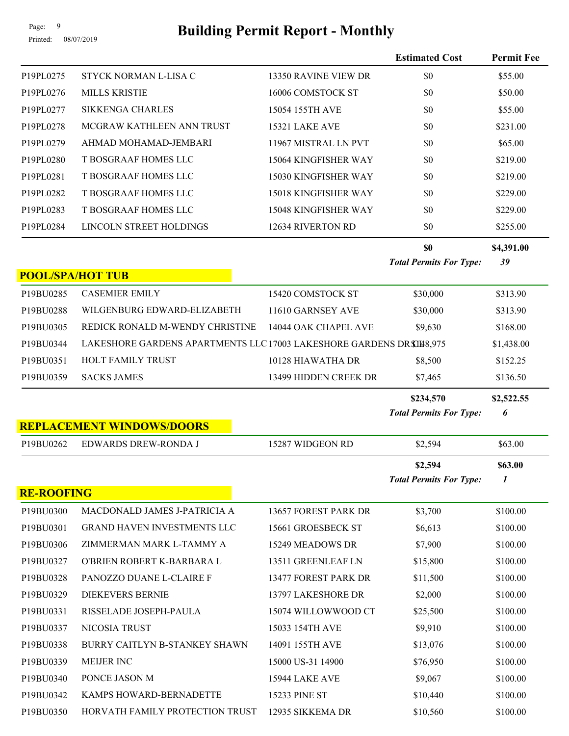# Page: 9<br>Printed: 08/07/2019 **Building Permit Report - Monthly**

|                   |                                                                       |                       | <b>Estimated Cost</b>                       | <b>Permit Fee</b> |
|-------------------|-----------------------------------------------------------------------|-----------------------|---------------------------------------------|-------------------|
| P19PL0275         | STYCK NORMAN L-LISA C                                                 | 13350 RAVINE VIEW DR  | \$0                                         | \$55.00           |
| P19PL0276         | <b>MILLS KRISTIE</b>                                                  | 16006 COMSTOCK ST     | \$0                                         | \$50.00           |
| P19PL0277         | <b>SIKKENGA CHARLES</b>                                               | 15054 155TH AVE       | \$0                                         | \$55.00           |
| P19PL0278         | MCGRAW KATHLEEN ANN TRUST                                             | 15321 LAKE AVE        | \$0                                         | \$231.00          |
| P19PL0279         | AHMAD MOHAMAD-JEMBARI                                                 | 11967 MISTRAL LN PVT  | \$0                                         | \$65.00           |
| P19PL0280         | T BOSGRAAF HOMES LLC                                                  | 15064 KINGFISHER WAY  | \$0                                         | \$219.00          |
| P19PL0281         | T BOSGRAAF HOMES LLC                                                  | 15030 KINGFISHER WAY  | \$0                                         | \$219.00          |
| P19PL0282         | T BOSGRAAF HOMES LLC                                                  | 15018 KINGFISHER WAY  | \$0                                         | \$229.00          |
| P19PL0283         | T BOSGRAAF HOMES LLC                                                  | 15048 KINGFISHER WAY  | \$0                                         | \$229.00          |
| P19PL0284         | LINCOLN STREET HOLDINGS                                               | 12634 RIVERTON RD     | \$0                                         | \$255.00          |
|                   |                                                                       |                       | \$0<br><b>Total Permits For Type:</b>       | \$4,391.00<br>39  |
|                   | <b>POOL/SPA/HOT TUB</b>                                               |                       |                                             |                   |
| P19BU0285         | <b>CASEMIER EMILY</b>                                                 | 15420 COMSTOCK ST     | \$30,000                                    | \$313.90          |
| P19BU0288         | WILGENBURG EDWARD-ELIZABETH                                           | 11610 GARNSEY AVE     | \$30,000                                    | \$313.90          |
| P19BU0305         | REDICK RONALD M-WENDY CHRISTINE                                       | 14044 OAK CHAPEL AVE  | \$9,630                                     | \$168.00          |
| P19BU0344         | LAKESHORE GARDENS APARTMENTS LLC 17003 LAKESHORE GARDENS DR \$148,975 |                       |                                             | \$1,438.00        |
| P19BU0351         | HOLT FAMILY TRUST                                                     | 10128 HIAWATHA DR     | \$8,500                                     | \$152.25          |
| P19BU0359         | <b>SACKS JAMES</b>                                                    | 13499 HIDDEN CREEK DR | \$7,465                                     | \$136.50          |
|                   |                                                                       |                       | \$234,570<br><b>Total Permits For Type:</b> | \$2,522.55<br>6   |
|                   | <b>REPLACEMENT WINDOWS/DOORS</b>                                      |                       |                                             |                   |
| P19BU0262         | EDWARDS DREW-RONDA J                                                  | 15287 WIDGEON RD      | \$2,594                                     | \$63.00           |
|                   |                                                                       |                       | \$2,594<br><b>Total Permits For Type:</b>   | \$63.00<br>1      |
| <b>RE-ROOFING</b> |                                                                       |                       |                                             |                   |
| P19BU0300         | MACDONALD JAMES J-PATRICIA A                                          | 13657 FOREST PARK DR  | \$3,700                                     | \$100.00          |
| P19BU0301         | GRAND HAVEN INVESTMENTS LLC                                           | 15661 GROESBECK ST    | \$6,613                                     | \$100.00          |
| P19BU0306         | ZIMMERMAN MARK L-TAMMY A                                              | 15249 MEADOWS DR      | \$7,900                                     | \$100.00          |
| P19BU0327         | O'BRIEN ROBERT K-BARBARA L                                            | 13511 GREENLEAF LN    | \$15,800                                    | \$100.00          |
| P19BU0328         | PANOZZO DUANE L-CLAIRE F                                              | 13477 FOREST PARK DR  | \$11,500                                    | \$100.00          |
| P19BU0329         | <b>DIEKEVERS BERNIE</b>                                               | 13797 LAKESHORE DR    | \$2,000                                     | \$100.00          |
| P19BU0331         | RISSELADE JOSEPH-PAULA                                                | 15074 WILLOWWOOD CT   | \$25,500                                    | \$100.00          |
| P19BU0337         | NICOSIA TRUST                                                         | 15033 154TH AVE       | \$9,910                                     | \$100.00          |
| P19BU0338         | BURRY CAITLYN B-STANKEY SHAWN                                         | 14091 155TH AVE       | \$13,076                                    | \$100.00          |
| P19BU0339         | MEIJER INC                                                            | 15000 US-31 14900     | \$76,950                                    | \$100.00          |
| P19BU0340         | PONCE JASON M                                                         | 15944 LAKE AVE        | \$9,067                                     | \$100.00          |
| P19BU0342         | KAMPS HOWARD-BERNADETTE                                               | <b>15233 PINE ST</b>  | \$10,440                                    | \$100.00          |
| P19BU0350         | HORVATH FAMILY PROTECTION TRUST                                       | 12935 SIKKEMA DR      | \$10,560                                    | \$100.00          |

Printed: 08/07/2019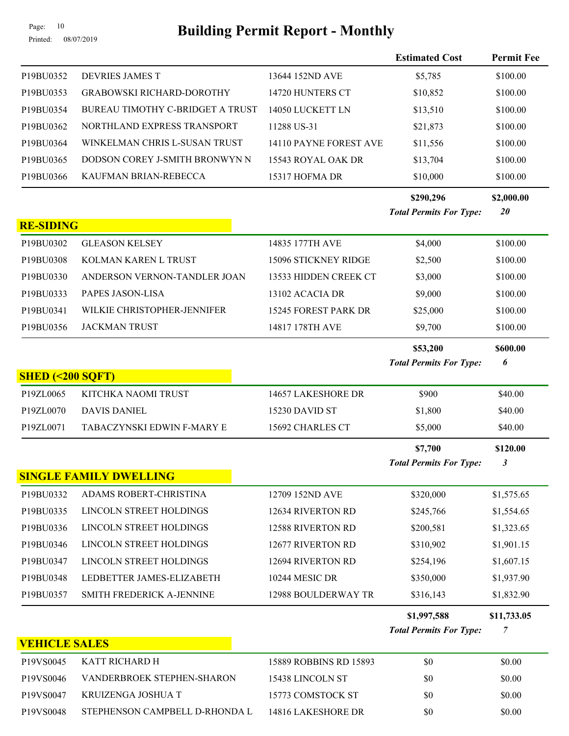# Page: 10<br>Printed: 08/07/2019 **Building Permit Report - Monthly**

Printed: 08/07/2019

|                      |                                  |                        | <b>Estimated Cost</b>          | <b>Permit Fee</b> |
|----------------------|----------------------------------|------------------------|--------------------------------|-------------------|
| P19BU0352            | DEVRIES JAMES T                  | 13644 152ND AVE        | \$5,785                        | \$100.00          |
| P19BU0353            | <b>GRABOWSKI RICHARD-DOROTHY</b> | 14720 HUNTERS CT       | \$10,852                       | \$100.00          |
| P19BU0354            | BUREAU TIMOTHY C-BRIDGET A TRUST | 14050 LUCKETT LN       | \$13,510                       | \$100.00          |
| P19BU0362            | NORTHLAND EXPRESS TRANSPORT      | 11288 US-31            | \$21,873                       | \$100.00          |
| P19BU0364            | WINKELMAN CHRIS L-SUSAN TRUST    | 14110 PAYNE FOREST AVE | \$11,556                       | \$100.00          |
| P19BU0365            | DODSON COREY J-SMITH BRONWYN N   | 15543 ROYAL OAK DR     | \$13,704                       | \$100.00          |
| P19BU0366            | KAUFMAN BRIAN-REBECCA            | 15317 HOFMA DR         | \$10,000                       | \$100.00          |
|                      |                                  |                        | \$290,296                      | \$2,000.00        |
|                      |                                  |                        | <b>Total Permits For Type:</b> | 20                |
| <b>RE-SIDING</b>     |                                  |                        |                                |                   |
| P19BU0302            | <b>GLEASON KELSEY</b>            | 14835 177TH AVE        | \$4,000                        | \$100.00          |
| P19BU0308            | KOLMAN KAREN L TRUST             | 15096 STICKNEY RIDGE   | \$2,500                        | \$100.00          |
| P19BU0330            | ANDERSON VERNON-TANDLER JOAN     | 13533 HIDDEN CREEK CT  | \$3,000                        | \$100.00          |
| P19BU0333            | PAPES JASON-LISA                 | 13102 ACACIA DR        | \$9,000                        | \$100.00          |
| P19BU0341            | WILKIE CHRISTOPHER-JENNIFER      | 15245 FOREST PARK DR   | \$25,000                       | \$100.00          |
| P19BU0356            | <b>JACKMAN TRUST</b>             | 14817 178TH AVE        | \$9,700                        | \$100.00          |
|                      |                                  |                        | \$53,200                       | \$600.00          |
|                      |                                  |                        | <b>Total Permits For Type:</b> | 6                 |
| SHED (< 200 SQFT)    |                                  |                        |                                |                   |
| P19ZL0065            | KITCHKA NAOMI TRUST              | 14657 LAKESHORE DR     | \$900                          | \$40.00           |
| P19ZL0070            | <b>DAVIS DANIEL</b>              | 15230 DAVID ST         | \$1,800                        | \$40.00           |
| P19ZL0071            | TABACZYNSKI EDWIN F-MARY E       | 15692 CHARLES CT       | \$5,000                        | \$40.00           |
|                      |                                  |                        | \$7,700                        | \$120.00          |
|                      |                                  |                        | <b>Total Permits For Type:</b> | 3                 |
|                      | <b>SINGLE FAMILY DWELLING</b>    |                        |                                |                   |
| P19BU0332            | ADAMS ROBERT-CHRISTINA           | 12709 152ND AVE        | \$320,000                      | \$1,575.65        |
| P19BU0335            | LINCOLN STREET HOLDINGS          | 12634 RIVERTON RD      | \$245,766                      | \$1,554.65        |
| P19BU0336            | LINCOLN STREET HOLDINGS          | 12588 RIVERTON RD      | \$200,581                      | \$1,323.65        |
| P19BU0346            | LINCOLN STREET HOLDINGS          | 12677 RIVERTON RD      | \$310,902                      | \$1,901.15        |
| P19BU0347            | LINCOLN STREET HOLDINGS          | 12694 RIVERTON RD      | \$254,196                      | \$1,607.15        |
| P19BU0348            | LEDBETTER JAMES-ELIZABETH        | 10244 MESIC DR         | \$350,000                      | \$1,937.90        |
| P19BU0357            | SMITH FREDERICK A-JENNINE        | 12988 BOULDERWAY TR    | \$316,143                      | \$1,832.90        |
|                      |                                  |                        | \$1,997,588                    | \$11,733.05       |
|                      |                                  |                        | <b>Total Permits For Type:</b> | 7                 |
| <b>VEHICLE SALES</b> |                                  |                        |                                |                   |
| P19VS0045            | KATT RICHARD H                   | 15889 ROBBINS RD 15893 | \$0                            | \$0.00            |
| P19VS0046            | VANDERBROEK STEPHEN-SHARON       | 15438 LINCOLN ST       | \$0                            | \$0.00            |
| P19VS0047            | KRUIZENGA JOSHUA T               | 15773 COMSTOCK ST      | \$0                            | \$0.00            |
| P19VS0048            | STEPHENSON CAMPBELL D-RHONDA L   | 14816 LAKESHORE DR     | \$0                            | \$0.00            |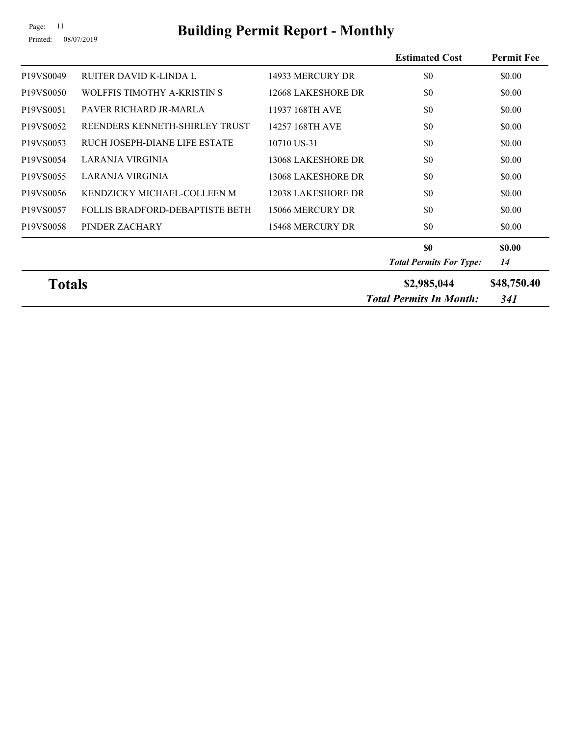# Page: 11<br>Printed: 08/07/2019 **Building Permit Report - Monthly**

|               |                                        |                    | <b>Estimated Cost</b>          | <b>Permit Fee</b> |
|---------------|----------------------------------------|--------------------|--------------------------------|-------------------|
| P19VS0049     | RUITER DAVID K-LINDA L                 | 14933 MERCURY DR   | \$0                            | \$0.00            |
| P19VS0050     | WOLFFIS TIMOTHY A-KRISTIN S            | 12668 LAKESHORE DR | \$0                            | \$0.00            |
| P19VS0051     | PAVER RICHARD JR-MARLA                 | 11937 168TH AVE    | \$0                            | \$0.00            |
| P19VS0052     | REENDERS KENNETH-SHIRLEY TRUST         | 14257 168TH AVE    | \$0                            | \$0.00            |
| P19VS0053     | RUCH JOSEPH-DIANE LIFE ESTATE          | 10710 US-31        | \$0                            | \$0.00            |
| P19VS0054     | LARANJA VIRGINIA                       | 13068 LAKESHORE DR | \$0                            | \$0.00            |
| P19VS0055     | LARANJA VIRGINIA                       | 13068 LAKESHORE DR | \$0                            | \$0.00            |
| P19VS0056     | KENDZICKY MICHAEL-COLLEEN M            | 12038 LAKESHORE DR | \$0                            | \$0.00            |
| P19VS0057     | <b>FOLLIS BRADFORD-DEBAPTISTE BETH</b> | 15066 MERCURY DR   | \$0                            | \$0.00            |
| P19VS0058     | PINDER ZACHARY                         | 15468 MERCURY DR   | \$0                            | \$0.00            |
|               |                                        |                    | \$0                            | \$0.00            |
|               |                                        |                    | <b>Total Permits For Type:</b> | 14                |
| <b>Totals</b> |                                        |                    | \$2,985,044                    | \$48,750.40       |
|               |                                        |                    | <b>Total Permits In Month:</b> | 341               |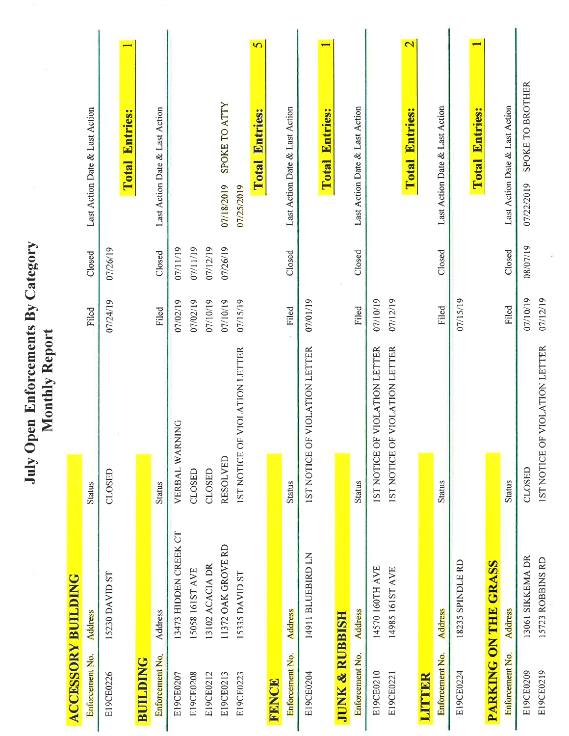July Open Enforcements By Category<br>Monthly Report

| <b>ACCESSORY BUILDING</b> |                       |                                           |          |          |                                                     |
|---------------------------|-----------------------|-------------------------------------------|----------|----------|-----------------------------------------------------|
| Enforcement No.           | <b>Address</b>        | <b>Status</b>                             | Filed    | Closed   | Last Action Date & Last Action                      |
| E19CE0226                 | 15230 DAVID ST        | CLOSED                                    | 07/24/19 | 07/26/19 |                                                     |
|                           |                       |                                           |          |          | <b>Entries:</b><br>Total                            |
| <b>BUILDING</b>           |                       |                                           |          |          |                                                     |
| Enforcement No.           | Address               | <b>Status</b>                             | Filed    | Closed   | Last Action Date & Last Action                      |
| E19CE0207                 | 13473 HIDDEN CREEK CT | VERBAL WARNING                            | 07/02/19 | 07/11/19 |                                                     |
| E19CE0208                 | 15058 161ST AVE       | CLOSED                                    | 07/02/19 | 07/11/19 |                                                     |
| E19CE0212                 | 13102 ACACIA DR       | CLOSED                                    | 07/10/19 | 07/12/19 |                                                     |
| E19CE0213                 | 11372 OAK GROVE RD    | <b>RESOLVED</b>                           | 07/10/19 | 07/26/19 | SPOKE TO ATTY<br>07/18/2019                         |
| E19CE0223                 | 15335 DAVID ST        | <b>IST NOTICE OF VIOLATION LETTER</b>     | 07/15/19 |          | 07/25/2019                                          |
|                           |                       |                                           |          |          | $\overline{S}$<br>Entries:<br>Total                 |
| FENCE                     |                       |                                           |          |          |                                                     |
| Enforcement No.           | <b>Address</b>        | <b>Status</b>                             | Filed    | Closed   | Last Action Date & Last Action                      |
| E19CE0204                 | 14911 BLUEBIRD LN     | F VIOLATION LETTER<br><b>IST NOTICE O</b> | 07/01/19 |          |                                                     |
|                           |                       |                                           |          |          | <b>Total Entries:</b>                               |
| <b>JUNK &amp; RUBBISH</b> |                       |                                           |          |          |                                                     |
| Enforcement No.           | <b>Address</b>        | <b>Status</b>                             | Filed    | Closed   | Last Action Date & Last Action                      |
| E19CE0210                 | 14570 160TH AVE       | IST NOTICE OF VIOLATION LETTER            | 07/10/19 |          |                                                     |
| E19CE0221                 | 14985 161ST AVE       | F VIOLATION LETTER<br><b>IST NOTICE O</b> | 07/12/19 |          |                                                     |
|                           |                       |                                           |          |          | $\overline{\mathbf{C}}$<br><b>Entries:</b><br>Total |
| LITTIBR                   |                       |                                           |          |          |                                                     |
| Enforcement No.           | <b>Address</b>        | <b>Status</b>                             | Filed    | Closed   | Last Action Date & Last Action                      |
| E19CE0224                 | 18235 SPINDLE RD      |                                           | 07/15/19 |          |                                                     |
|                           |                       |                                           |          |          | <b>Entries:</b><br>Total                            |
|                           | PARKING ON THE GRASS  |                                           |          |          |                                                     |
| Enforcement No.           | <b>Address</b>        | <b>Status</b>                             | Filed    | Closed   | Last Action Date & Last Action                      |
| E19CE0209                 | 13061 SIKKEMA DR      | CLOSED                                    | 07/10/19 | 08/07/19 | SPOKE TO BROTHER<br>07/22/2019                      |
| E19CE0219                 | 15723 ROBBINS RD      | IST NOTICE OF VIOLATION LETTER            | 07/12/19 |          |                                                     |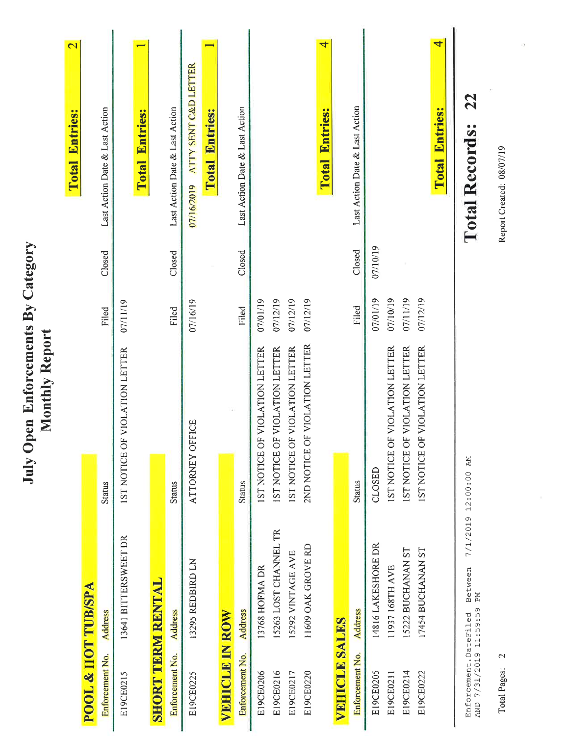|                                                      | $\overline{\mathbf{C}}$<br><b>Total Entries:</b> |                               | Last Action Date & Last Action |                                | <b>Total Entries:</b> |                          | Last Action Date & Last Action | ATTY SENT C&D LETTER<br>07/16/2019 | <b>Total Entries:</b> |                       | Last Action Date & Last Action |                                |                                |                                |                                | 4<br><b>Total Entries:</b> |                      | Last Action Date & Last Action |                    |                                       |                                |                                | 4<br><b>Total Entries:</b> | 22<br><b>Total Records:</b>                      |  |
|------------------------------------------------------|--------------------------------------------------|-------------------------------|--------------------------------|--------------------------------|-----------------------|--------------------------|--------------------------------|------------------------------------|-----------------------|-----------------------|--------------------------------|--------------------------------|--------------------------------|--------------------------------|--------------------------------|----------------------------|----------------------|--------------------------------|--------------------|---------------------------------------|--------------------------------|--------------------------------|----------------------------|--------------------------------------------------|--|
|                                                      |                                                  |                               | Closed                         |                                |                       |                          | Closed                         |                                    |                       |                       | Closed                         |                                |                                |                                |                                |                            |                      | Closed                         | 07/10/19           |                                       |                                |                                |                            |                                                  |  |
|                                                      |                                                  |                               | Filed                          | 07/11/19                       |                       |                          | Filed                          | 07/16/19                           |                       |                       | Filed                          | 07/01/19                       | 07/12/19                       | 07/12/19                       | 07/12/19                       |                            |                      | Filed                          | 07/01/19           | 07/10/19                              | 07/11/19                       | 07/12/19                       |                            |                                                  |  |
| July Open Enforcements By Category<br>Monthly Report |                                                  |                               | <b>Status</b>                  | IST NOTICE OF VIOLATION LETTER |                       |                          | <b>Status</b>                  | ATTORNEY OFFICE                    |                       |                       | <b>Status</b>                  | IST NOTICE OF VIOLATION LETTER | 1ST NOTICE OF VIOLATION LETTER | IST NOTICE OF VIOLATION LETTER | 2ND NOTICE OF VIOLATION LETTER |                            |                      | <b>Status</b>                  | CLOSED             | <b>IST NOTICE OF VIOLATION LETTER</b> | IST NOTICE OF VIOLATION LETTER | IST NOTICE OF VIOLATION LETTER |                            | 7/1/2019 12:00:00 AM                             |  |
|                                                      |                                                  |                               | <b>Address</b>                 | 13641 BITTERSWEET DR           |                       |                          | <b>Address</b>                 | 13295 REDBIRD LN                   |                       |                       | <b>Address</b>                 | 13768 HOFMA DR                 | 15263 LOST CHANNEL TR          | 15292 VINTAGE AVE              | 11609 OAK GROVE RD             |                            |                      | <b>Address</b>                 | 14816 LAKESHORE DR | 11937 168TH AVE                       | 15222 BUCHANAN ST              | 17454 BUCHANAN ST              |                            | Between<br>PМ                                    |  |
|                                                      |                                                  | <b>POOL &amp; HOT TUB/SPA</b> | Enforcement No.                | E19CE0215                      |                       | <b>SHORT TERM RENTAL</b> | Enforcement No.                | E19CE0225                          |                       | <b>VEHICLE IN ROW</b> | Enforcement No.                | E19CE0206                      | E19CE0216                      | E19CE0217                      | E19CE0220                      |                            | <b>VEHICLE SALES</b> | Enforcement No.                | E19CE0205          | E19CE0211                             | E19CE0214                      | E19CE0222                      |                            | AND 7/31/2019 11:59:59<br>Enforcement. DateFiled |  |

Total Pages: 2

Report Created: 08/07/19

o)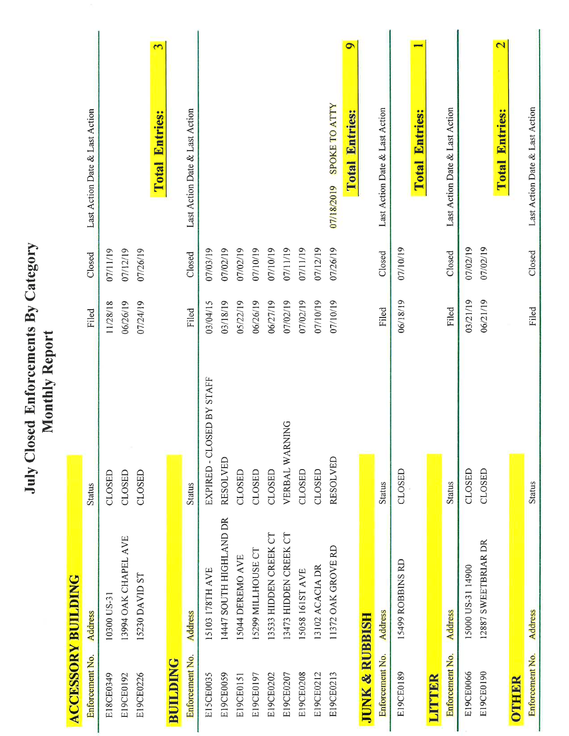July Closed Enforcements By Category<br>Monthly Report

| <b>ACCESSORY BUILDING</b> |                         |                           |          |          |                                                     |
|---------------------------|-------------------------|---------------------------|----------|----------|-----------------------------------------------------|
| Enforcement No.           | Address                 | <b>Status</b>             | Filed    | Closed   | Last Action Date & Last Action                      |
| E18CE0349                 | 10300 US-31             | CLOSED                    | 11/28/18 | 07/11/19 |                                                     |
| E19CE0192                 | 13994 OAK CHAPEL AVE    | CLOSED                    | 06/26/19 | 07/12/19 |                                                     |
| E19CE0226                 | 15230 DAVID ST          | CLOSED                    | 07/24/19 | 07/26/19 |                                                     |
|                           |                         |                           |          |          | $\mathbf{\tilde{c}}$<br><b>Entries:</b><br>Total    |
| <b>BUILDING</b>           |                         |                           |          |          |                                                     |
| Enforcement No.           | <b>Address</b>          | <b>Status</b>             | Filed    | Closed   | Last Action Date & Last Action                      |
| E15CE0035                 | 15103 178TH AVE         | EXPIRED - CLOSED BY STAFF | 03/04/15 | 07/03/19 |                                                     |
| E19CE0059                 | 14447 SOUTH HIGHLAND DR | <b>RESOLVED</b>           | 03/18/19 | 07/02/19 |                                                     |
| E19CE0151                 | 15044 DEREMO AVE        | CLOSED                    | 05/22/19 | 07/02/19 |                                                     |
| E19CE0197                 | 15299 MILLHOUSE CT      | CLOSED                    | 06/26/19 | 07/10/19 |                                                     |
| E19CE0202                 | 13533 HIDDEN CREEK CT   | CLOSED                    | 06/27/19 | 07/10/19 |                                                     |
| E19CE0207                 | 13473 HIDDEN CREEK CT   | VERBAL WARNING            | 07/02/19 | 07/11/19 |                                                     |
| E19CE0208                 | 15058 161ST AVE         | CLOSED                    | 07/02/19 | 07/11/19 |                                                     |
| E19CE0212                 | 13102 ACACIA DR         | CLOSED                    | 07/10/19 | 07/12/19 |                                                     |
| E19CE0213                 | 11372 OAK GROVE RD      | <b>RESOLVED</b>           | 07/10/19 | 07/26/19 | <b>SPOKE TO ATTY</b><br>07/18/2019                  |
|                           |                         |                           |          |          | $\bullet$<br><b>Total Entries:</b>                  |
| <b>JUNK &amp; RUBBISH</b> |                         |                           |          |          |                                                     |
| Enforcement No.           | <b>Address</b>          | <b>Status</b>             | Filed    | Closed   | Last Action Date & Last Action                      |
| E19CE0189                 | 15499 ROBBINS RD        | CLOSED                    | 06/18/19 | 07/10/19 |                                                     |
|                           |                         |                           |          |          | <b>Total Entries:</b>                               |
| LITTER                    |                         |                           |          |          |                                                     |
| Enforcement No.           | <b>Address</b>          | <b>Status</b>             | Filed    | Closed   | Last Action Date & Last Action                      |
| E19CE0066                 | 15000 US-31 14900       | CLOSED                    | 03/21/19 | 07/02/19 |                                                     |
| E19CE0190                 | 12887 SWEETBRIAR DR     | CLOSED                    | 06/21/19 | 07/02/19 |                                                     |
|                           |                         |                           |          |          | $\overline{\mathbf{C}}$<br><b>Entries:</b><br>Total |
| OTHER                     |                         |                           |          |          |                                                     |
| Enforcement No.           | <b>Address</b>          | <b>Status</b>             | Filed    | Closed   | Last Action Date & Last Action                      |

ı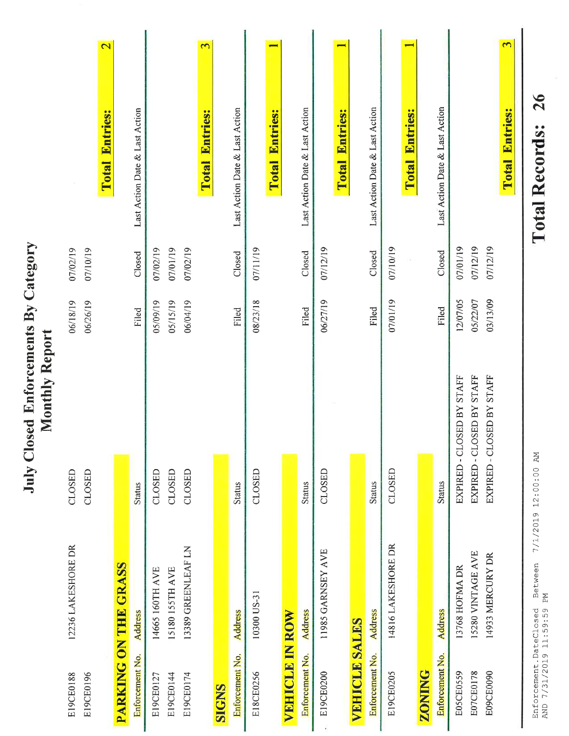|                                                      |                      | <b>TANTA STRAINER</b>                          |                      |                      |                                                     |
|------------------------------------------------------|----------------------|------------------------------------------------|----------------------|----------------------|-----------------------------------------------------|
| E19CE0196<br>E19CE0188                               | 12236 LAKESHORE DR   | CLOSED<br>CLOSED                               | 06/18/19<br>06/26/19 | 07/02/19<br>07/10/19 |                                                     |
|                                                      |                      |                                                |                      |                      | $\overline{\mathbf{C}}$<br><b>Entries:</b><br>Total |
|                                                      | PARKING ON THE GRASS |                                                |                      |                      |                                                     |
| Enforcement No.                                      | <b>Address</b>       | <b>Status</b>                                  | Filed                | Closed               | Last Action Date & Last Action                      |
| E19CE0127                                            | 14665 160TH AVE      | CLOSED                                         | 05/09/19             | 07/02/19             |                                                     |
| E19CE0144                                            | 15180 155TH AVE      | CLOSED                                         | 05/15/19             | 07/01/19             |                                                     |
| E19CE0174                                            | 13389 GREENLEAF LN   | CLOSED                                         | 06/04/19             | 07/02/19             |                                                     |
|                                                      |                      |                                                |                      |                      | $\overline{c}$<br><b>Entries:</b><br>Total          |
| <b>SIGNS</b>                                         |                      |                                                |                      |                      |                                                     |
| Enforcement No.                                      | <b>Address</b>       | <b>Status</b>                                  | Filed                | Closed               | Last Action Date & Last Action                      |
| E18CE0256                                            | 10300 US-31          | CLOSED                                         | 08/23/18             | 07/11/19             |                                                     |
|                                                      |                      |                                                |                      |                      | <b>Entries:</b><br>Total                            |
| <b>VEHICLE IN ROW</b>                                |                      |                                                |                      |                      |                                                     |
| Enforcement No.                                      | <b>Address</b>       | <b>Status</b>                                  | Filed                | Closed               | Last Action Date & Last Action                      |
| E19CE0200                                            | 11985 GARNSEY AVE    | CLOSED                                         | 06/27/19             | 07/12/19             |                                                     |
|                                                      |                      |                                                |                      |                      | <b>Total Entries:</b>                               |
| <b>VEHICLE SALES</b>                                 |                      |                                                |                      |                      |                                                     |
| Enforcement No.                                      | <b>Address</b>       | <b>Status</b>                                  | Filed                | Closed               | Last Action Date & Last Action                      |
| E19CE0205                                            | 14816 LAKESHORE DR   | CLOSED                                         | 07/01/19             | 07/10/19             |                                                     |
|                                                      |                      |                                                |                      |                      | <b>Total Entries:</b>                               |
| <b>ZONING</b>                                        |                      |                                                |                      |                      |                                                     |
| Enforcement No.                                      | <b>Address</b>       | <b>Status</b>                                  | Filed                | Closed               | Last Action Date & Last Action                      |
| E05CE0559                                            | 13768 HOFMA DR       | <b>JSED BY STAFF</b><br>-CLC<br><b>EXPIRED</b> | 12/07/05             | 07/01/19             |                                                     |
| E07CE0178                                            | 15280 VINTAGE AVE    | EXPIRED - CLOSED BY STAFF                      | 05/22/07             | 07/12/19             |                                                     |
| E09CE0090                                            | 14933 MERCURY DR     | EXPIRED - CLOSED BY STAFF                      | 03/13/09             | 07/12/19             |                                                     |
|                                                      |                      |                                                |                      |                      | 3<br>Entries:<br>Total                              |
| AND 7/31/2019 11.59.59 PM<br>Enforcement. DateClosed | Between              | 7/1/2019 12:00:00 AM                           |                      |                      | 26<br><b>Total Records:</b>                         |

July Closed Enforcements By Category

**TOTAL Records:** 

AND 7/31/2019 11:59:59 PM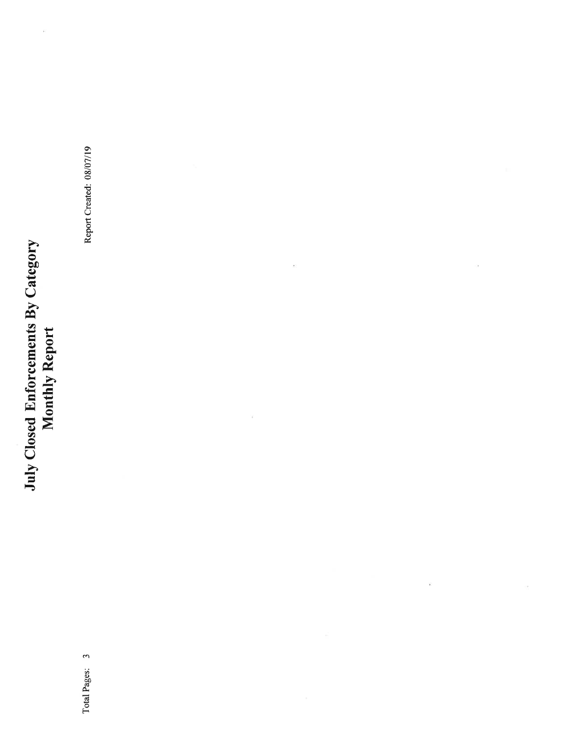# July Closed Enforcements By Category<br>Monthly Report

 $\tilde{\nu}$ 

Report Created: 08/07/19

 $\bar{\psi}$ 

ÿ

 $\alpha$ 

 $\overline{\phantom{a}}$ 

Ŷ,

Total Pages: 3